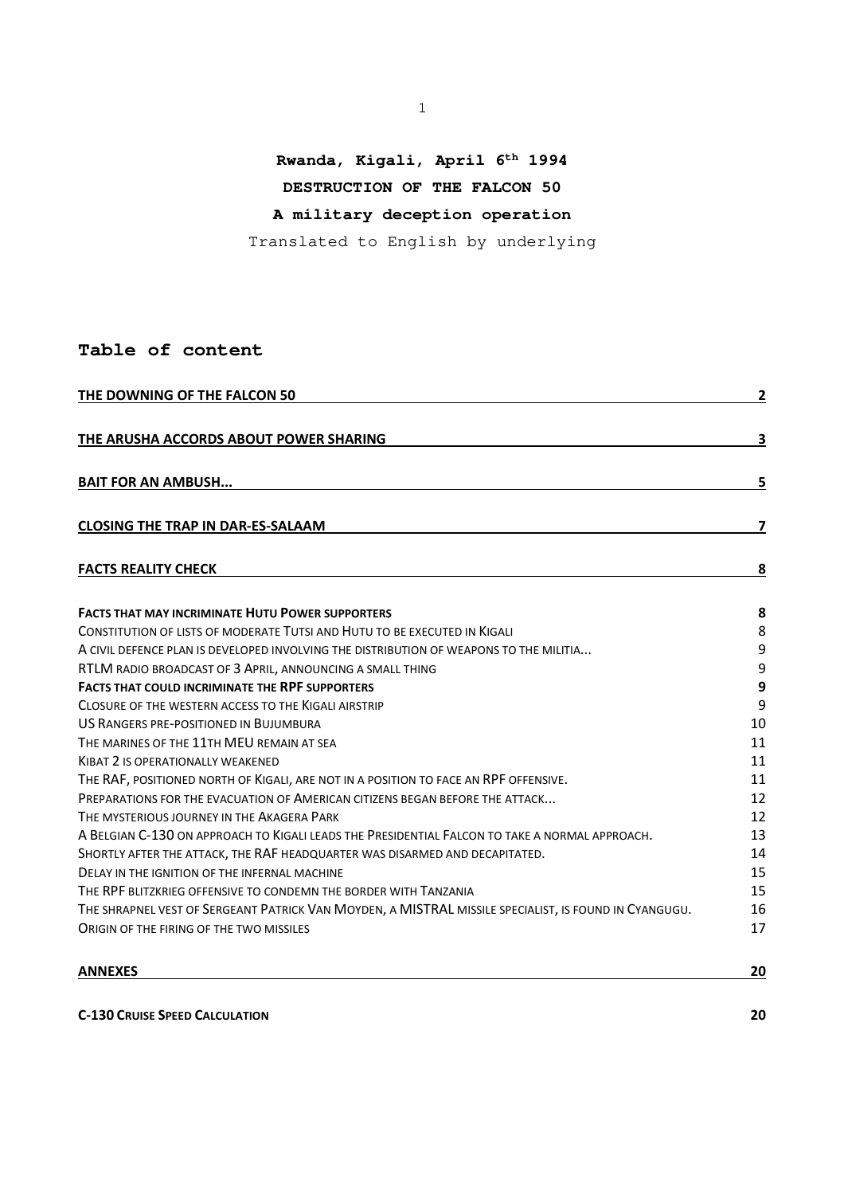# **Rwanda, Kigali, April 6th 1994**

# **DESTRUCTION OF THE FALCON 50**

# **A military deception operation**

Translated to English by underlying

## **Table of content**

| THE DOWNING OF THE FALCON 50                                                                          |    |  |  |  |
|-------------------------------------------------------------------------------------------------------|----|--|--|--|
| THE ARUSHA ACCORDS ABOUT POWER SHARING                                                                | 3  |  |  |  |
| <b>BAIT FOR AN AMBUSH</b>                                                                             | 5  |  |  |  |
| <b>CLOSING THE TRAP IN DAR-ES-SALAAM</b>                                                              | 7  |  |  |  |
| <b>FACTS REALITY CHECK</b>                                                                            | 8  |  |  |  |
| <b>FACTS THAT MAY INCRIMINATE HUTU POWER SUPPORTERS</b>                                               | 8  |  |  |  |
| CONSTITUTION OF LISTS OF MODERATE TUTSI AND HUTU TO BE EXECUTED IN KIGALI                             | 8  |  |  |  |
| A CIVIL DEFENCE PLAN IS DEVELOPED INVOLVING THE DISTRIBUTION OF WEAPONS TO THE MILITIA                | 9  |  |  |  |
| RTLM RADIO BROADCAST OF 3 APRIL, ANNOUNCING A SMALL THING                                             | 9  |  |  |  |
| <b>FACTS THAT COULD INCRIMINATE THE RPF SUPPORTERS</b>                                                | 9  |  |  |  |
| CLOSURE OF THE WESTERN ACCESS TO THE KIGALI AIRSTRIP                                                  | 9  |  |  |  |
| US RANGERS PRE-POSITIONED IN BUJUMBURA                                                                | 10 |  |  |  |
| THE MARINES OF THE 11TH MEU REMAIN AT SEA                                                             | 11 |  |  |  |
| <b>KIBAT 2 IS OPERATIONALLY WEAKENED</b>                                                              | 11 |  |  |  |
| THE RAF, POSITIONED NORTH OF KIGALI, ARE NOT IN A POSITION TO FACE AN RPF OFFENSIVE.                  | 11 |  |  |  |
| PREPARATIONS FOR THE EVACUATION OF AMERICAN CITIZENS BEGAN BEFORE THE ATTACK                          | 12 |  |  |  |
| THE MYSTERIOUS JOURNEY IN THE AKAGERA PARK                                                            | 12 |  |  |  |
| A BELGIAN C-130 ON APPROACH TO KIGALI LEADS THE PRESIDENTIAL FALCON TO TAKE A NORMAL APPROACH.        | 13 |  |  |  |
| SHORTLY AFTER THE ATTACK, THE RAF HEADQUARTER WAS DISARMED AND DECAPITATED.                           | 14 |  |  |  |
| DELAY IN THE IGNITION OF THE INFERNAL MACHINE                                                         | 15 |  |  |  |
| THE RPF BLITZKRIEG OFFENSIVE TO CONDEMN THE BORDER WITH TANZANIA                                      | 15 |  |  |  |
| THE SHRAPNEL VEST OF SERGEANT PATRICK VAN MOYDEN, A MISTRAL MISSILE SPECIALIST, IS FOUND IN CYANGUGU. | 16 |  |  |  |
| ORIGIN OF THE FIRING OF THE TWO MISSILES                                                              | 17 |  |  |  |

**ANNEXES 20**

**C-130 CRUISE SPEED CALCULATION 20**

1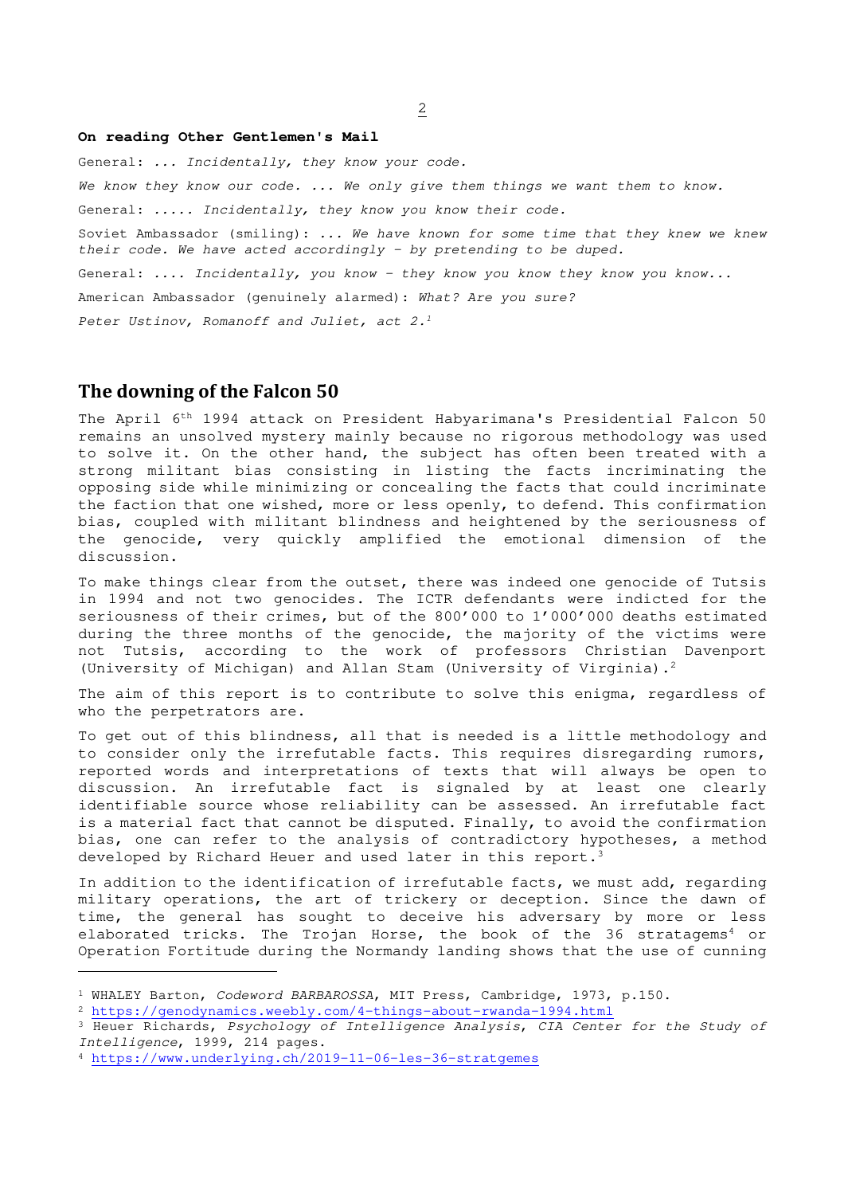#### **On reading Other Gentlemen's Mail**

General: ... Incidentally, they know your code.

We know they know our code. ... We only give them things we want them to know.

General: ..... Incidentally, they know you know their code.

Soviet Ambassador (smiling): ... We have known for some time that they knew we knew their code. We have acted accordingly  $-$  by pretending to be duped.

General: .... Incidentally, you know - they know you know they know you know...

American Ambassador (genuinely alarmed): What? Are you sure?

Peter Ustinov, Romanoff and Juliet, act 2.<sup>1</sup>

## **The downing of the Falcon 50**

The April 6th 1994 attack on President Habyarimana's Presidential Falcon 50 remains an unsolved mystery mainly because no rigorous methodology was used to solve it. On the other hand, the subject has often been treated with a strong militant bias consisting in listing the facts incriminating the opposing side while minimizing or concealing the facts that could incriminate the faction that one wished, more or less openly, to defend. This confirmation bias, coupled with militant blindness and heightened by the seriousness of the genocide, very quickly amplified the emotional dimension of the discussion.

To make things clear from the outset, there was indeed one genocide of Tutsis in 1994 and not two genocides. The ICTR defendants were indicted for the seriousness of their crimes, but of the 800'000 to 1'000'000 deaths estimated during the three months of the genocide, the majority of the victims were not Tutsis, according to the work of professors Christian Davenport (University of Michigan) and Allan Stam (University of Virginia).<sup>2</sup>

The aim of this report is to contribute to solve this enigma, regardless of who the perpetrators are.

To get out of this blindness, all that is needed is a little methodology and to consider only the irrefutable facts. This requires disregarding rumors, reported words and interpretations of texts that will always be open to discussion. An irrefutable fact is signaled by at least one clearly identifiable source whose reliability can be assessed. An irrefutable fact is a material fact that cannot be disputed. Finally, to avoid the confirmation bias, one can refer to the analysis of contradictory hypotheses, a method developed by Richard Heuer and used later in this report.<sup>3</sup>

In addition to the identification of irrefutable facts, we must add, regarding military operations, the art of trickery or deception. Since the dawn of time, the general has sought to deceive his adversary by more or less elaborated tricks. The Trojan Horse, the book of the 36 stratagems<sup>4</sup> or Operation Fortitude during the Normandy landing shows that the use of cunning

<sup>1</sup> WHALEY Barton, Codeword BARBAROSSA, MIT Press, Cambridge, 1973, p.150.

<sup>2</sup> https://genodynamics.weebly.com/4-things-about-rwanda-1994.html

<sup>&</sup>lt;sup>3</sup> Heuer Richards, Psychology of Intelligence Analysis, CIA Center for the Study of Intelligence, 1999, 214 pages.

<sup>4</sup> https://www.underlying.ch/2019-11-06-les-36-stratgemes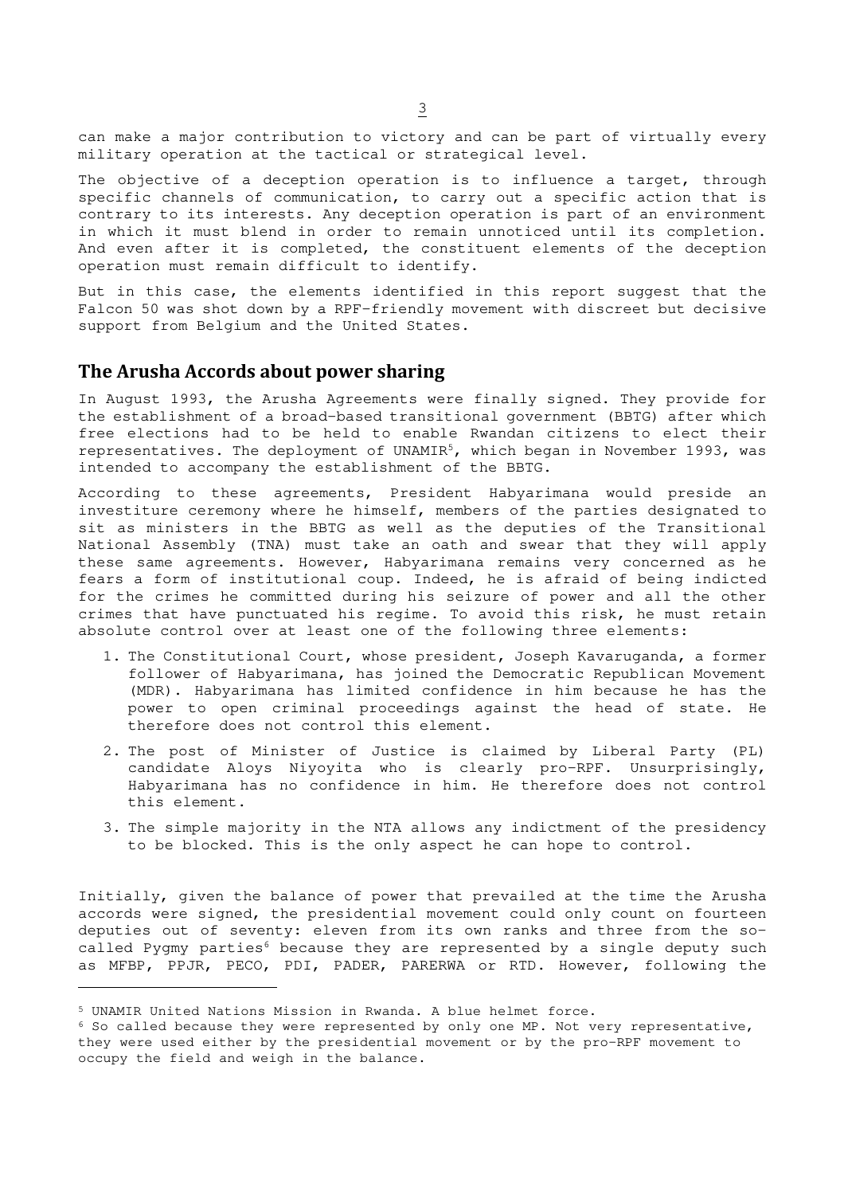can make a major contribution to victory and can be part of virtually every military operation at the tactical or strategical level.

The objective of a deception operation is to influence a target, through specific channels of communication, to carry out a specific action that is contrary to its interests. Any deception operation is part of an environment in which it must blend in order to remain unnoticed until its completion. And even after it is completed, the constituent elements of the deception operation must remain difficult to identify.

But in this case, the elements identified in this report suggest that the Falcon 50 was shot down by a RPF-friendly movement with discreet but decisive support from Belgium and the United States.

## **The Arusha Accords about power sharing**

In August 1993, the Arusha Agreements were finally signed. They provide for the establishment of a broad-based transitional government (BBTG) after which free elections had to be held to enable Rwandan citizens to elect their representatives. The deployment of UNAMIR<sup>5</sup>, which began in November 1993, was intended to accompany the establishment of the BBTG.

According to these agreements, President Habyarimana would preside an investiture ceremony where he himself, members of the parties designated to sit as ministers in the BBTG as well as the deputies of the Transitional National Assembly (TNA) must take an oath and swear that they will apply these same agreements. However, Habyarimana remains very concerned as he fears a form of institutional coup. Indeed, he is afraid of being indicted for the crimes he committed during his seizure of power and all the other crimes that have punctuated his regime. To avoid this risk, he must retain absolute control over at least one of the following three elements:

- 1. The Constitutional Court, whose president, Joseph Kavaruganda, a former follower of Habyarimana, has joined the Democratic Republican Movement (MDR). Habyarimana has limited confidence in him because he has the power to open criminal proceedings against the head of state. He therefore does not control this element.
- 2. The post of Minister of Justice is claimed by Liberal Party (PL) candidate Aloys Niyoyita who is clearly pro-RPF. Unsurprisingly, Habyarimana has no confidence in him. He therefore does not control this element.
- 3. The simple majority in the NTA allows any indictment of the presidency to be blocked. This is the only aspect he can hope to control.

Initially, given the balance of power that prevailed at the time the Arusha accords were signed, the presidential movement could only count on fourteen deputies out of seventy: eleven from its own ranks and three from the socalled Pygmy parties<sup>6</sup> because they are represented by a single deputy such as MFBP, PPJR, PECO, PDI, PADER, PARERWA or RTD. However, following the

<sup>5</sup> UNAMIR United Nations Mission in Rwanda. A blue helmet force.

<sup>6</sup> So called because they were represented by only one MP. Not very representative, they were used either by the presidential movement or by the pro-RPF movement to occupy the field and weigh in the balance.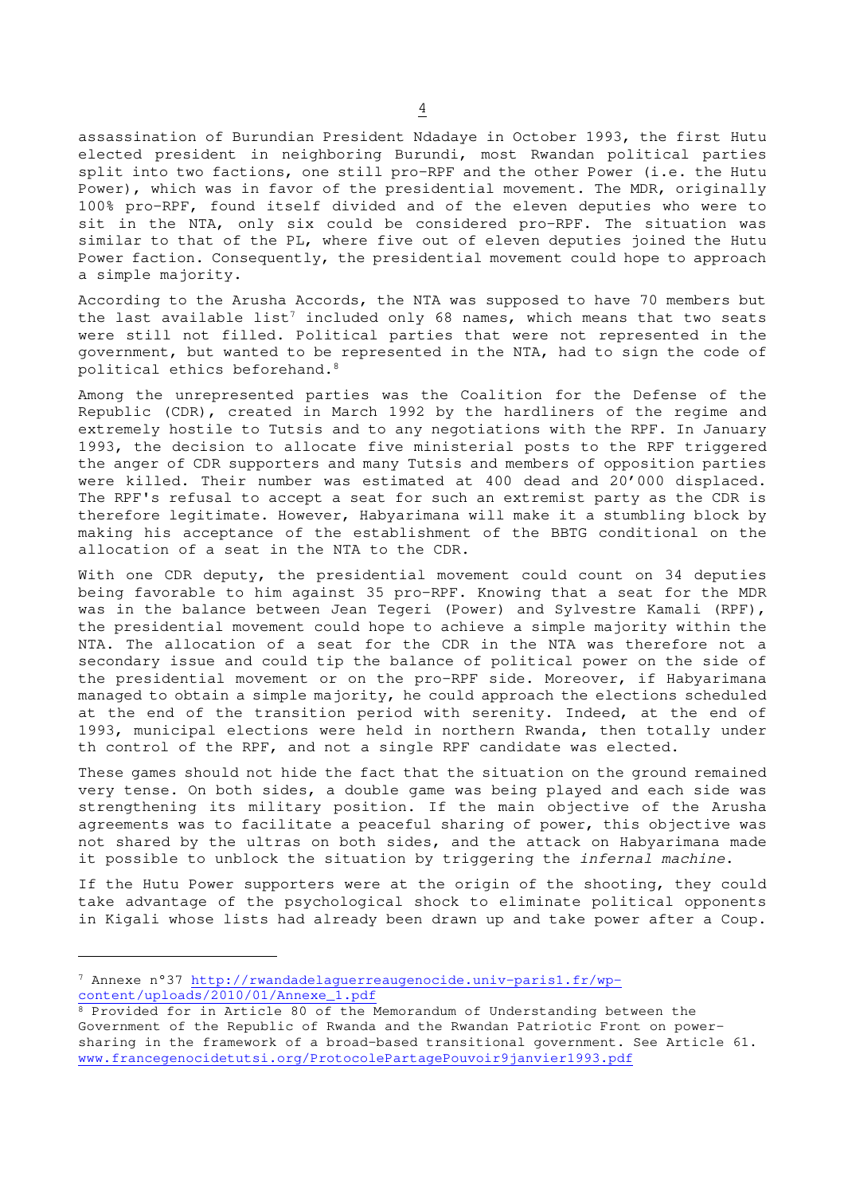assassination of Burundian President Ndadaye in October 1993, the first Hutu elected president in neighboring Burundi, most Rwandan political parties split into two factions, one still pro-RPF and the other Power (i.e. the Hutu Power), which was in favor of the presidential movement. The MDR, originally 100% pro-RPF, found itself divided and of the eleven deputies who were to sit in the NTA, only six could be considered pro-RPF. The situation was similar to that of the PL, where five out of eleven deputies joined the Hutu Power faction. Consequently, the presidential movement could hope to approach a simple majority.

According to the Arusha Accords, the NTA was supposed to have 70 members but the last available list<sup>7</sup> included only 68 names, which means that two seats were still not filled. Political parties that were not represented in the government, but wanted to be represented in the NTA, had to sign the code of political ethics beforehand.<sup>8</sup>

Among the unrepresented parties was the Coalition for the Defense of the Republic (CDR), created in March 1992 by the hardliners of the regime and extremely hostile to Tutsis and to any negotiations with the RPF. In January 1993, the decision to allocate five ministerial posts to the RPF triggered the anger of CDR supporters and many Tutsis and members of opposition parties were killed. Their number was estimated at 400 dead and 20'000 displaced. The RPF's refusal to accept a seat for such an extremist party as the CDR is therefore legitimate. However, Habyarimana will make it a stumbling block by making his acceptance of the establishment of the BBTG conditional on the allocation of a seat in the NTA to the CDR.

With one CDR deputy, the presidential movement could count on 34 deputies being favorable to him against 35 pro-RPF. Knowing that a seat for the MDR was in the balance between Jean Tegeri (Power) and Sylvestre Kamali (RPF), the presidential movement could hope to achieve a simple majority within the NTA. The allocation of a seat for the CDR in the NTA was therefore not a secondary issue and could tip the balance of political power on the side of the presidential movement or on the pro-RPF side. Moreover, if Habyarimana managed to obtain a simple majority, he could approach the elections scheduled at the end of the transition period with serenity. Indeed, at the end of 1993, municipal elections were held in northern Rwanda, then totally under th control of the RPF, and not a single RPF candidate was elected.

These games should not hide the fact that the situation on the ground remained very tense. On both sides, a double game was being played and each side was strengthening its military position. If the main objective of the Arusha agreements was to facilitate a peaceful sharing of power, this objective was not shared by the ultras on both sides, and the attack on Habyarimana made it possible to unblock the situation by triggering the *infernal machine*.

If the Hutu Power supporters were at the origin of the shooting, they could take advantage of the psychological shock to eliminate political opponents in Kigali whose lists had already been drawn up and take power after a Coup.

<sup>7</sup> Annexe n°37 http://rwandadelaguerreaugenocide.univ-paris1.fr/wpcontent/uploads/2010/01/Annexe\_1.pdf

<sup>8</sup> Provided for in Article 80 of the Memorandum of Understanding between the Government of the Republic of Rwanda and the Rwandan Patriotic Front on powersharing in the framework of a broad-based transitional government. See Article 61. www.francegenocidetutsi.org/ProtocolePartagePouvoir9janvier1993.pdf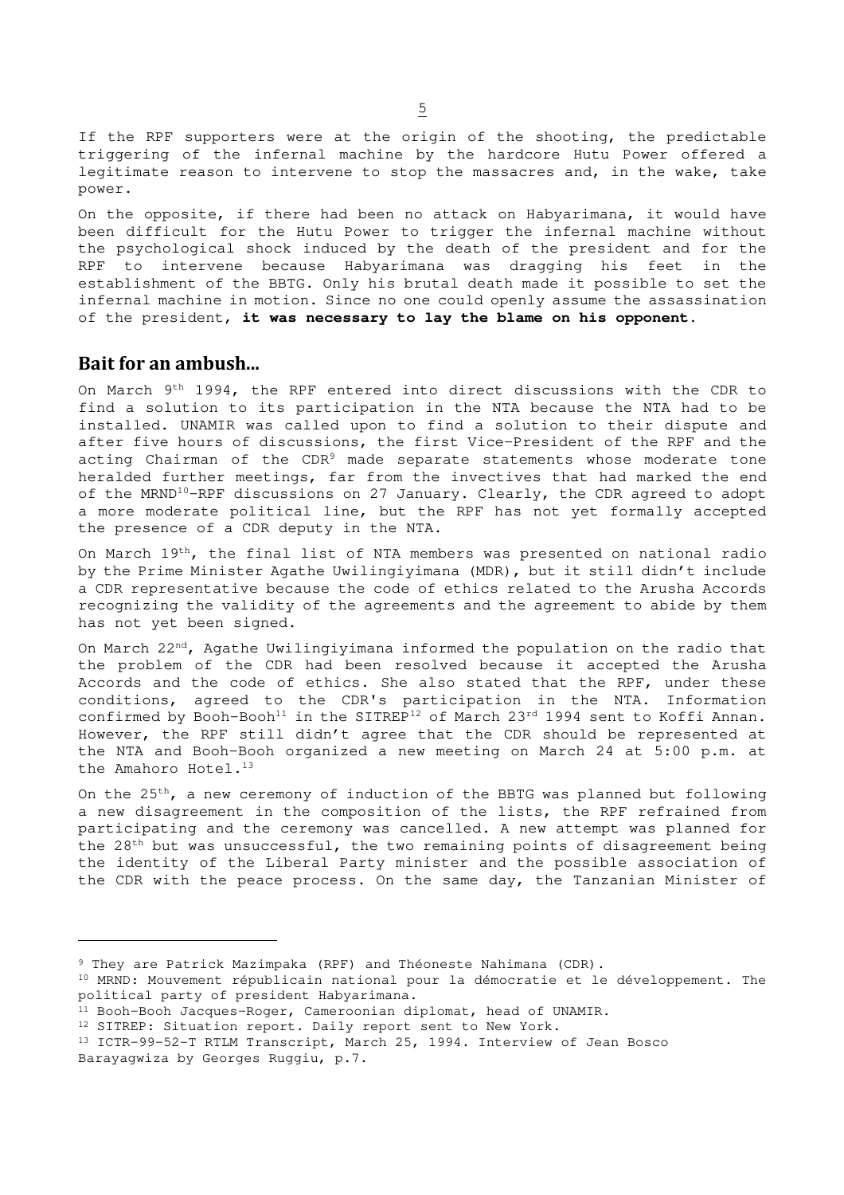If the RPF supporters were at the origin of the shooting, the predictable triggering of the infernal machine by the hardcore Hutu Power offered a legitimate reason to intervene to stop the massacres and, in the wake, take power.

On the opposite, if there had been no attack on Habyarimana, it would have been difficult for the Hutu Power to trigger the infernal machine without the psychological shock induced by the death of the president and for the RPF to intervene because Habyarimana was dragging his feet in the establishment of the BBTG. Only his brutal death made it possible to set the infernal machine in motion. Since no one could openly assume the assassination of the president, **it was necessary to lay the blame on his opponent**.

## **Bait for an ambush...**

On March  $9^{th}$  1994, the RPF entered into direct discussions with the CDR to find a solution to its participation in the NTA because the NTA had to be installed. UNAMIR was called upon to find a solution to their dispute and after five hours of discussions, the first Vice-President of the RPF and the acting Chairman of the CDR<sup>9</sup> made separate statements whose moderate tone heralded further meetings, far from the invectives that had marked the end of the MRND<sup>10</sup>-RPF discussions on 27 January. Clearly, the CDR agreed to adopt a more moderate political line, but the RPF has not yet formally accepted the presence of a CDR deputy in the NTA.

On March 19th, the final list of NTA members was presented on national radio by the Prime Minister Agathe Uwilingiyimana (MDR), but it still didn't include a CDR representative because the code of ethics related to the Arusha Accords recognizing the validity of the agreements and the agreement to abide by them has not yet been signed.

On March 22<sup>nd</sup>, Agathe Uwilingiyimana informed the population on the radio that the problem of the CDR had been resolved because it accepted the Arusha Accords and the code of ethics. She also stated that the RPF, under these conditions, agreed to the CDR's participation in the NTA. Information confirmed by Booh-Booh<sup>11</sup> in the SITREP<sup>12</sup> of March 23<sup>rd</sup> 1994 sent to Koffi Annan. However, the RPF still didn't agree that the CDR should be represented at the NTA and Booh-Booh organized a new meeting on March 24 at 5:00 p.m. at the Amahoro Hotel.<sup>13</sup>

On the 25th, a new ceremony of induction of the BBTG was planned but following a new disagreement in the composition of the lists, the RPF refrained from participating and the ceremony was cancelled. A new attempt was planned for the 28<sup>th</sup> but was unsuccessful, the two remaining points of disagreement being the identity of the Liberal Party minister and the possible association of the CDR with the peace process. On the same day, the Tanzanian Minister of

<sup>9</sup> They are Patrick Mazimpaka (RPF) and Théoneste Nahimana (CDR).

<sup>&</sup>lt;sup>10</sup> MRND: Mouvement républicain national pour la démocratie et le développement. The political party of president Habyarimana.

<sup>11</sup> Booh-Booh Jacques-Roger, Cameroonian diplomat, head of UNAMIR.

<sup>&</sup>lt;sup>12</sup> SITREP: Situation report. Daily report sent to New York.

<sup>13</sup> ICTR-99-52-T RTLM Transcript, March 25, 1994. Interview of Jean Bosco Barayagwiza by Georges Ruggiu, p.7.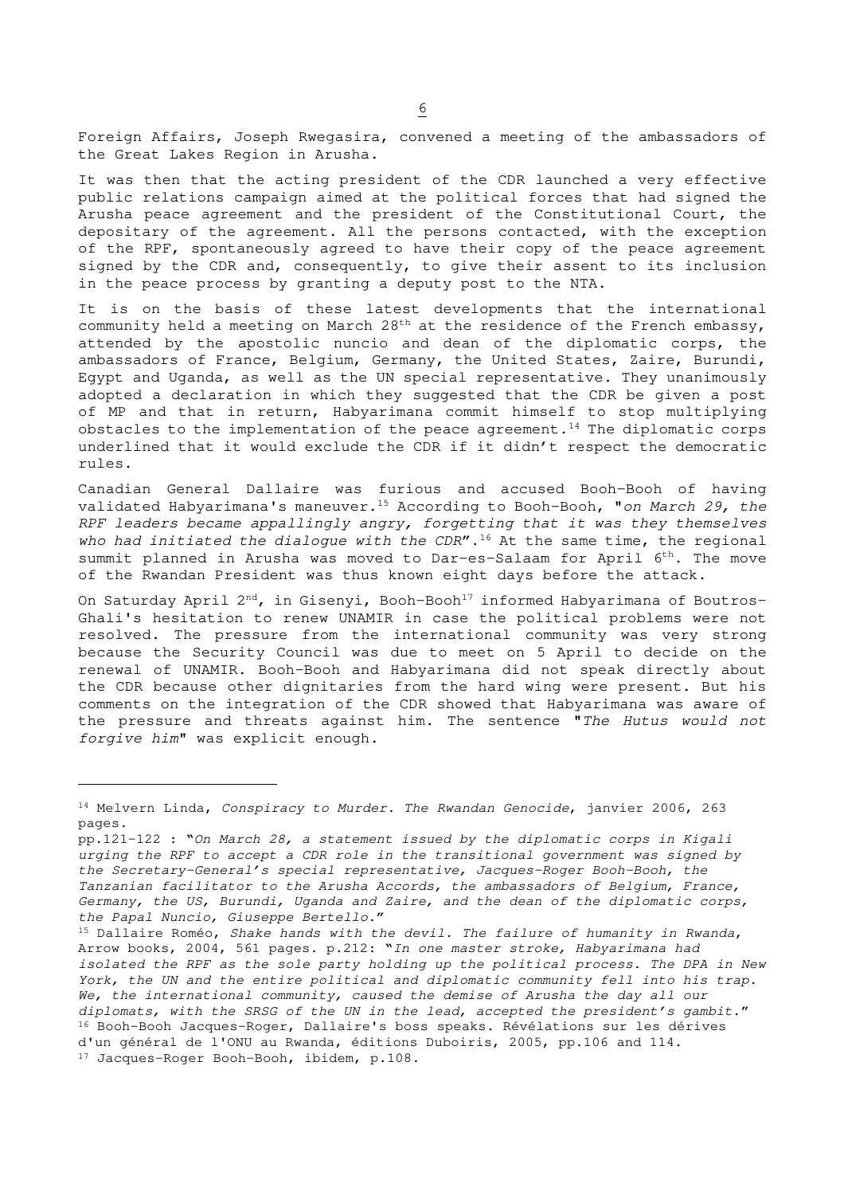Foreign Affairs, Joseph Rwegasira, convened a meeting of the ambassadors of the Great Lakes Region in Arusha.

It was then that the acting president of the CDR launched a very effective public relations campaign aimed at the political forces that had signed the Arusha peace agreement and the president of the Constitutional Court, the depositary of the agreement. All the persons contacted, with the exception of the RPF, spontaneously agreed to have their copy of the peace agreement signed by the CDR and, consequently, to give their assent to its inclusion in the peace process by granting a deputy post to the NTA.

It is on the basis of these latest developments that the international community held a meeting on March 28<sup>th</sup> at the residence of the French embassy, attended by the apostolic nuncio and dean of the diplomatic corps, the ambassadors of France, Belgium, Germany, the United States, Zaire, Burundi, Egypt and Uganda, as well as the UN special representative. They unanimously adopted a declaration in which they suggested that the CDR be given a post of MP and that in return, Habyarimana commit himself to stop multiplying obstacles to the implementation of the peace agreement.<sup>14</sup> The diplomatic corps underlined that it would exclude the CDR if it didn't respect the democratic rules.

Canadian General Dallaire was furious and accused Booh-Booh of having validated Habyarimana's maneuver.<sup>15</sup> According to Booh-Booh, "on March 29, the RPF leaders became appallingly angry, forgetting that it was they themselves who had initiated the dialogue with the  $CDR''$ .<sup>16</sup> At the same time, the regional summit planned in Arusha was moved to Dar-es-Salaam for April 6<sup>th</sup>. The move of the Rwandan President was thus known eight days before the attack.

On Saturday April  $2^{nd}$ , in Gisenyi, Booh-Booh<sup>17</sup> informed Habyarimana of Boutros-Ghali's hesitation to renew UNAMIR in case the political problems were not resolved. The pressure from the international community was very strong because the Security Council was due to meet on 5 April to decide on the renewal of UNAMIR. Booh-Booh and Habyarimana did not speak directly about the CDR because other dignitaries from the hard wing were present. But his comments on the integration of the CDR showed that Habyarimana was aware of the pressure and threats against him. The sentence "The Hutus would not forgive him" was explicit enough.

<sup>&</sup>lt;sup>14</sup> Melvern Linda, Conspiracy to Murder. The Rwandan Genocide, janvier 2006, 263 pages.

pp.121-122 : "On March 28, a statement issued by the diplomatic corps in Kigali urging the RPF to accept a CDR role in the transitional government was signed by the Secretary-General's special representative, Jacques-Roger Booh-Booh, the Tanzanian facilitator to the Arusha Accords, the ambassadors of Belgium, France, Germany, the US, Burundi, Uganda and Zaire, and the dean of the diplomatic corps, the Papal Nuncio, Giuseppe Bertello."

<sup>15</sup> Dallaire Roméo, Shake hands with the devil. The failure of humanity in Rwanda, Arrow books, 2004, 561 pages. p.212: "In one master stroke, Habyarimana had isolated the RPF as the sole party holding up the political process. The DPA in New York, the UN and the entire political and diplomatic community fell into his trap. We, the international community, caused the demise of Arusha the day all our diplomats, with the SRSG of the UN in the lead, accepted the president's gambit." <sup>16</sup> Booh-Booh Jacques-Roger, Dallaire's boss speaks. Révélations sur les dérives d'un général de l'ONU au Rwanda, éditions Duboiris, 2005, pp.106 and 114. 17 Jacques-Roger Booh-Booh, ibidem, p.108.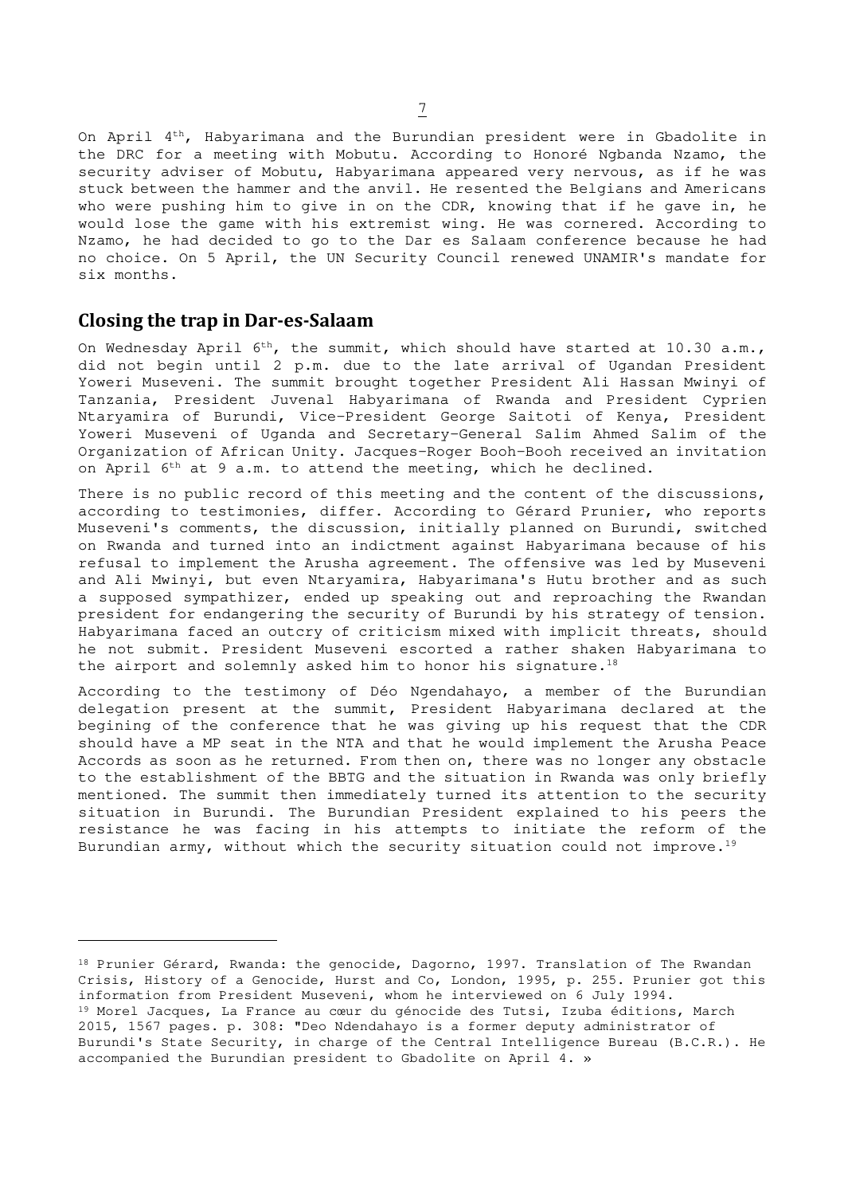On April  $4<sup>th</sup>$ , Habyarimana and the Burundian president were in Gbadolite in the DRC for a meeting with Mobutu. According to Honoré Ngbanda Nzamo, the security adviser of Mobutu, Habyarimana appeared very nervous, as if he was stuck between the hammer and the anvil. He resented the Belgians and Americans who were pushing him to give in on the CDR, knowing that if he gave in, he would lose the game with his extremist wing. He was cornered. According to Nzamo, he had decided to go to the Dar es Salaam conference because he had no choice. On 5 April, the UN Security Council renewed UNAMIR's mandate for six months.

## **Closing the trap in Dar-es-Salaam**

On Wednesday April  $6^{th}$ , the summit, which should have started at 10.30 a.m., did not begin until 2 p.m. due to the late arrival of Ugandan President Yoweri Museveni. The summit brought together President Ali Hassan Mwinyi of Tanzania, President Juvenal Habyarimana of Rwanda and President Cyprien Ntaryamira of Burundi, Vice-President George Saitoti of Kenya, President Yoweri Museveni of Uganda and Secretary-General Salim Ahmed Salim of the Organization of African Unity. Jacques-Roger Booh-Booh received an invitation on April  $6^{th}$  at 9 a.m. to attend the meeting, which he declined.

There is no public record of this meeting and the content of the discussions, according to testimonies, differ. According to Gérard Prunier, who reports Museveni's comments, the discussion, initially planned on Burundi, switched on Rwanda and turned into an indictment against Habyarimana because of his refusal to implement the Arusha agreement. The offensive was led by Museveni and Ali Mwinyi, but even Ntaryamira, Habyarimana's Hutu brother and as such a supposed sympathizer, ended up speaking out and reproaching the Rwandan president for endangering the security of Burundi by his strategy of tension. Habyarimana faced an outcry of criticism mixed with implicit threats, should he not submit. President Museveni escorted a rather shaken Habyarimana to the airport and solemnly asked him to honor his signature.<sup>18</sup>

According to the testimony of Déo Ngendahayo, a member of the Burundian delegation present at the summit, President Habyarimana declared at the begining of the conference that he was giving up his request that the CDR should have a MP seat in the NTA and that he would implement the Arusha Peace Accords as soon as he returned. From then on, there was no longer any obstacle to the establishment of the BBTG and the situation in Rwanda was only briefly mentioned. The summit then immediately turned its attention to the security situation in Burundi. The Burundian President explained to his peers the resistance he was facing in his attempts to initiate the reform of the Burundian army, without which the security situation could not improve.<sup>19</sup>

<sup>18</sup> Prunier Gérard, Rwanda: the genocide, Dagorno, 1997. Translation of The Rwandan Crisis, History of a Genocide, Hurst and Co, London, 1995, p. 255. Prunier got this information from President Museveni, whom he interviewed on 6 July 1994. 19 Morel Jacques, La France au cœur du génocide des Tutsi, Izuba éditions, March 2015, 1567 pages. p. 308: "Deo Ndendahayo is a former deputy administrator of Burundi's State Security, in charge of the Central Intelligence Bureau (B.C.R.). He accompanied the Burundian president to Gbadolite on April 4. »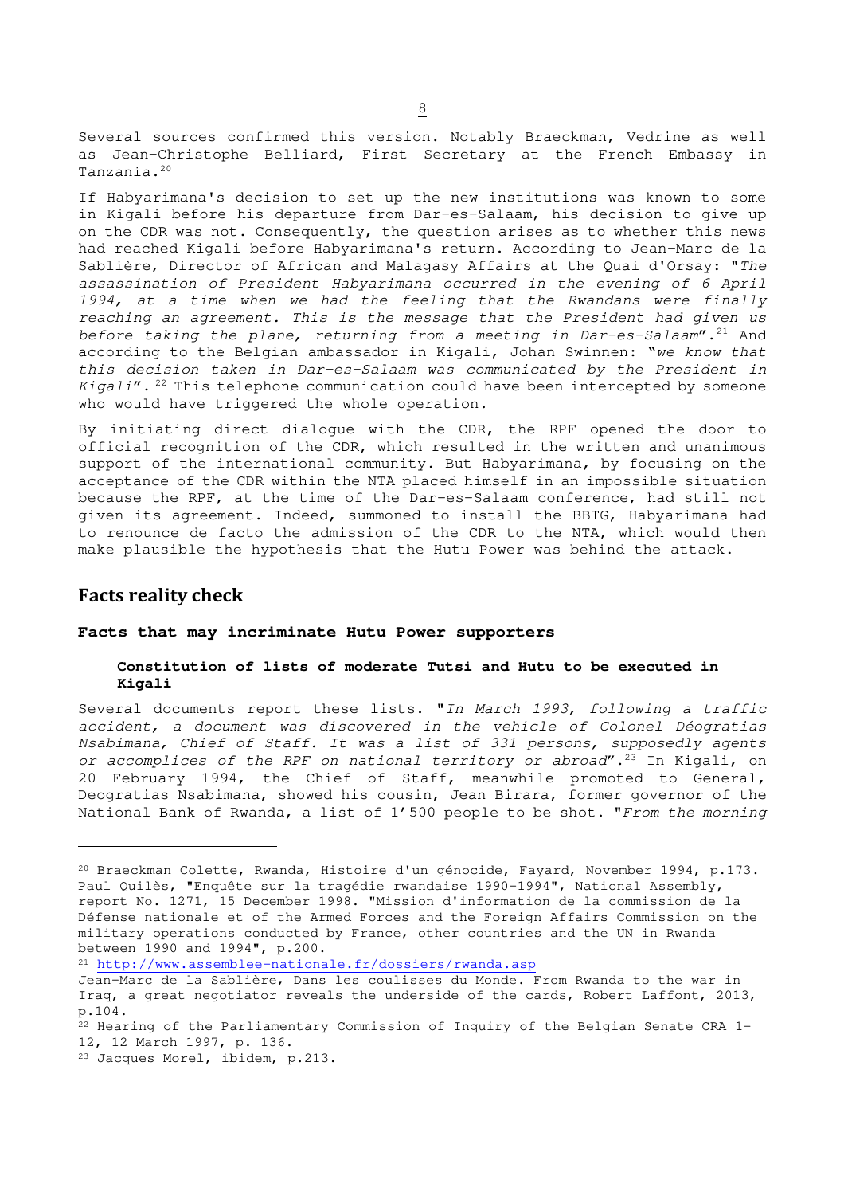Several sources confirmed this version. Notably Braeckman, Vedrine as well as Jean-Christophe Belliard, First Secretary at the French Embassy in Tanzania.<sup>20</sup>

If Habyarimana's decision to set up the new institutions was known to some in Kigali before his departure from Dar-es-Salaam, his decision to give up on the CDR was not. Consequently, the question arises as to whether this news had reached Kigali before Habyarimana's return. According to Jean-Marc de la Sablière, Director of African and Malagasy Affairs at the Quai d'Orsay: "The assassination of President Habyarimana occurred in the evening of 6 April 1994, at a time when we had the feeling that the Rwandans were finally reaching an agreement. This is the message that the President had given us before taking the plane, returning from a meeting in Dar-es-Salaam".<sup>21</sup> And according to the Belgian ambassador in Kigali, Johan Swinnen: "we know that this decision taken in Dar-es-Salaam was communicated by the President in  $Kigali''$ .<sup>22</sup> This telephone communication could have been intercepted by someone who would have triggered the whole operation.

By initiating direct dialogue with the CDR, the RPF opened the door to official recognition of the CDR, which resulted in the written and unanimous support of the international community. But Habyarimana, by focusing on the acceptance of the CDR within the NTA placed himself in an impossible situation because the RPF, at the time of the Dar-es-Salaam conference, had still not given its agreement. Indeed, summoned to install the BBTG, Habyarimana had to renounce de facto the admission of the CDR to the NTA, which would then make plausible the hypothesis that the Hutu Power was behind the attack.

## **Facts reality check**

## **Facts that may incriminate Hutu Power supporters**

## **Constitution of lists of moderate Tutsi and Hutu to be executed in Kigali**

Several documents report these lists. "In March 1993, following a traffic accident, a document was discovered in the vehicle of Colonel Déogratias Nsabimana, Chief of Staff. It was a list of 331 persons, supposedly agents or accomplices of the RPF on national territory or abroad".<sup>23</sup> In Kigali, on 20 February 1994, the Chief of Staff, meanwhile promoted to General, Deogratias Nsabimana, showed his cousin, Jean Birara, former governor of the National Bank of Rwanda, a list of 1'500 people to be shot. "From the morning

<sup>21</sup> http://www.assemblee-nationale.fr/dossiers/rwanda.asp

<sup>20</sup> Braeckman Colette, Rwanda, Histoire d'un génocide, Fayard, November 1994, p.173. Paul Quilès, "Enquête sur la tragédie rwandaise 1990-1994", National Assembly, report No. 1271, 15 December 1998. "Mission d'information de la commission de la Défense nationale et of the Armed Forces and the Foreign Affairs Commission on the military operations conducted by France, other countries and the UN in Rwanda between 1990 and 1994", p.200.

Jean-Marc de la Sablière, Dans les coulisses du Monde. From Rwanda to the war in Iraq, a great negotiator reveals the underside of the cards, Robert Laffont, 2013, p.104.

<sup>&</sup>lt;sup>22</sup> Hearing of the Parliamentary Commission of Inquiry of the Belgian Senate CRA 1-12, 12 March 1997, p. 136.

<sup>23</sup> Jacques Morel, ibidem, p.213.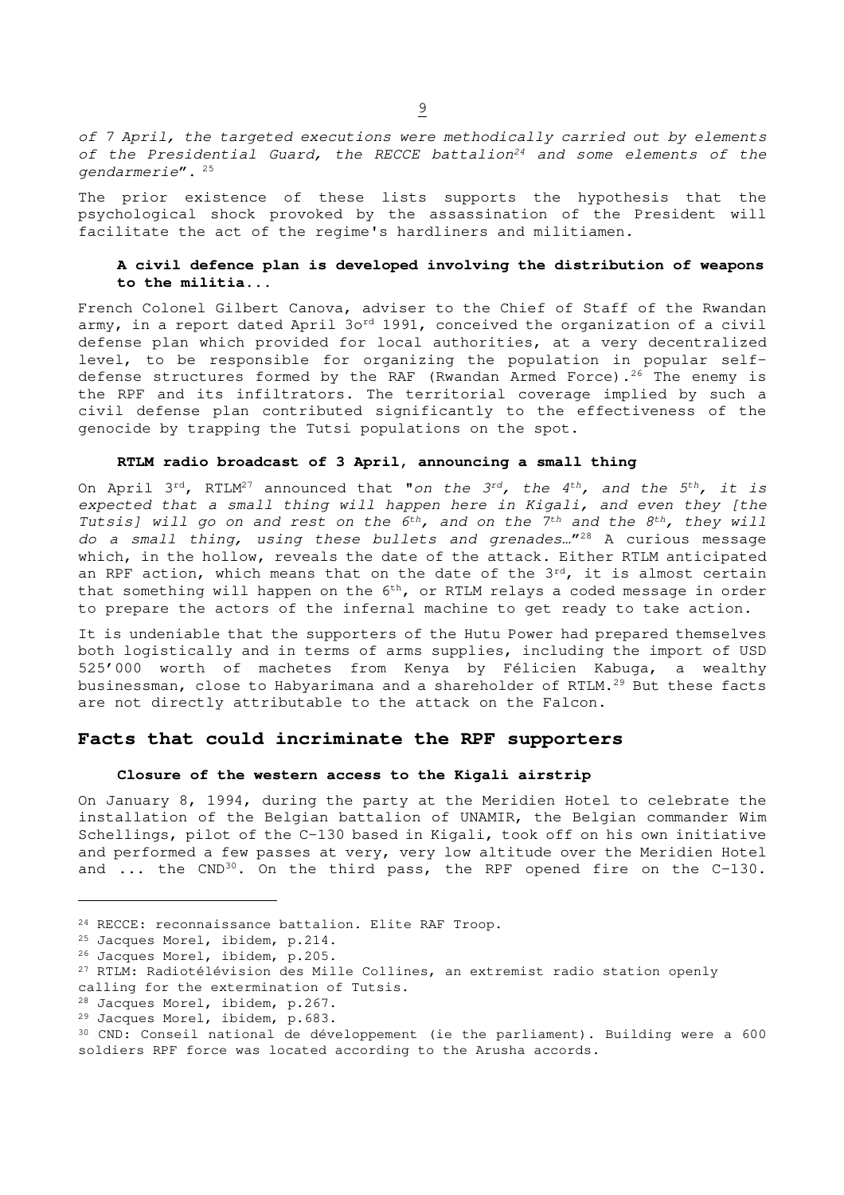of 7 April, the targeted executions were methodically carried out by elements of the Presidential Guard, the RECCE battalion<sup>24</sup> and some elements of the gendarmerie".<sup>25</sup>

The prior existence of these lists supports the hypothesis that the psychological shock provoked by the assassination of the President will facilitate the act of the regime's hardliners and militiamen.

## **A civil defence plan is developed involving the distribution of weapons to the militia...**

French Colonel Gilbert Canova, adviser to the Chief of Staff of the Rwandan army, in a report dated April 3ord 1991, conceived the organization of a civil defense plan which provided for local authorities, at a very decentralized level, to be responsible for organizing the population in popular selfdefense structures formed by the RAF (Rwandan Armed Force).<sup>26</sup> The enemy is the RPF and its infiltrators. The territorial coverage implied by such a civil defense plan contributed significantly to the effectiveness of the genocide by trapping the Tutsi populations on the spot.

## **RTLM radio broadcast of 3 April, announcing a small thing**

On April 3<sup>rd</sup>, RTLM<sup>27</sup> announced that "on the 3<sup>rd</sup>, the 4<sup>th</sup>, and the 5<sup>th</sup>, it is expected that a small thing will happen here in Kigali, and even they [the Tutsis] will go on and rest on the  $6^{th}$ , and on the  $7^{th}$  and the  $8^{th}$ , they will do a small thing, using these bullets and grenades…" <sup>28</sup> A curious message which, in the hollow, reveals the date of the attack. Either RTLM anticipated an RPF action, which means that on the date of the 3<sup>rd</sup>, it is almost certain that something will happen on the 6<sup>th</sup>, or RTLM relays a coded message in order to prepare the actors of the infernal machine to get ready to take action.

It is undeniable that the supporters of the Hutu Power had prepared themselves both logistically and in terms of arms supplies, including the import of USD 525'000 worth of machetes from Kenya by Félicien Kabuga, a wealthy businessman, close to Habyarimana and a shareholder of RTLM.<sup>29</sup> But these facts are not directly attributable to the attack on the Falcon.

## **Facts that could incriminate the RPF supporters**

#### **Closure of the western access to the Kigali airstrip**

On January 8, 1994, during the party at the Meridien Hotel to celebrate the installation of the Belgian battalion of UNAMIR, the Belgian commander Wim Schellings, pilot of the C-130 based in Kigali, took off on his own initiative and performed a few passes at very, very low altitude over the Meridien Hotel and ... the CND<sup>30</sup>. On the third pass, the RPF opened fire on the C-130.

<sup>24</sup> RECCE: reconnaissance battalion. Elite RAF Troop.

<sup>25</sup> Jacques Morel, ibidem, p.214.

<sup>26</sup> Jacques Morel, ibidem, p.205.

<sup>&</sup>lt;sup>27</sup> RTLM: Radiotélévision des Mille Collines, an extremist radio station openly calling for the extermination of Tutsis.

<sup>28</sup> Jacques Morel, ibidem, p.267.

<sup>29</sup> Jacques Morel, ibidem, p.683.

<sup>30</sup> CND: Conseil national de développement (ie the parliament). Building were a 600 soldiers RPF force was located according to the Arusha accords.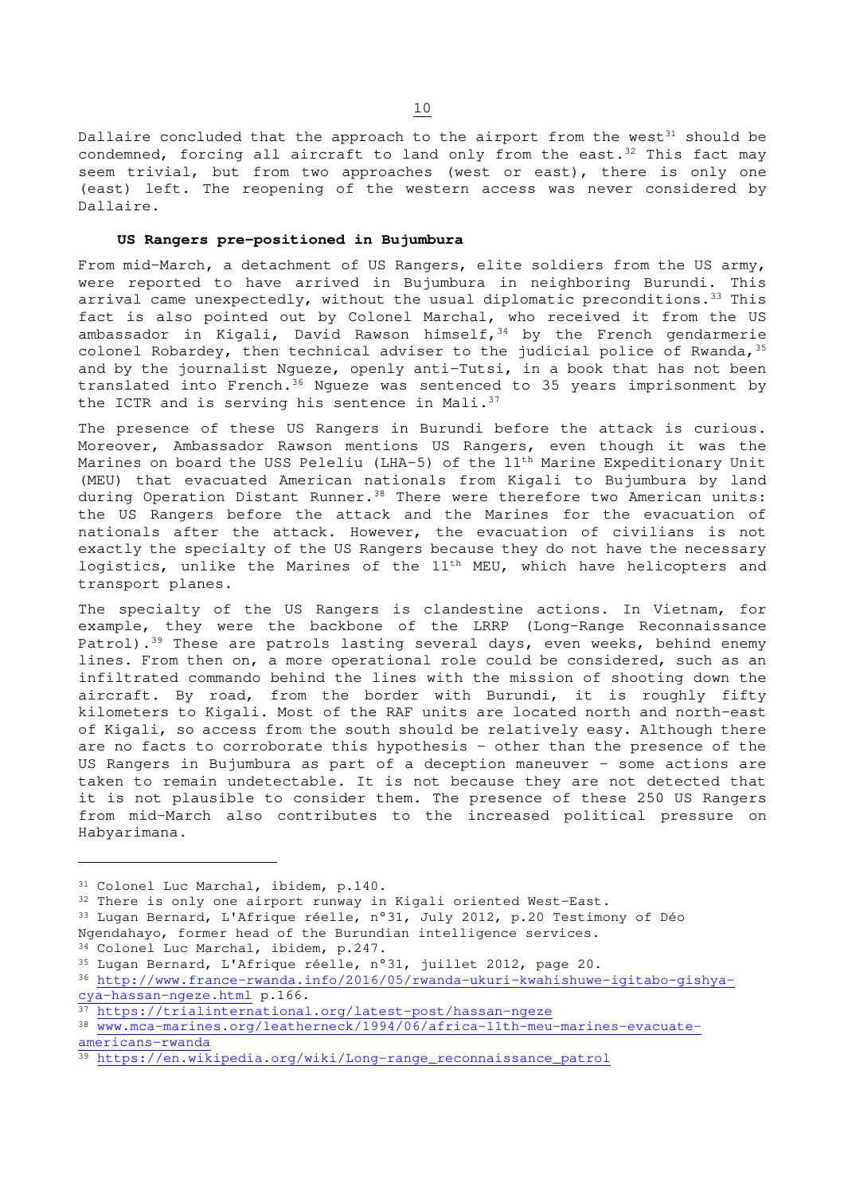Dallaire concluded that the approach to the airport from the west $31$  should be condemned, forcing all aircraft to land only from the east.<sup>32</sup> This fact may seem trivial, but from two approaches (west or east), there is only one (east) left. The reopening of the western access was never considered by Dallaire.

## **US Rangers pre-positioned in Bujumbura**

From mid-March, a detachment of US Rangers, elite soldiers from the US army, were reported to have arrived in Bujumbura in neighboring Burundi. This arrival came unexpectedly, without the usual diplomatic preconditions.<sup>33</sup> This fact is also pointed out by Colonel Marchal, who received it from the US ambassador in Kigali, David Rawson himself,  $34$  by the French gendarmerie colonel Robardey, then technical adviser to the judicial police of Rwanda,  $35$ and by the journalist Ngueze, openly anti-Tutsi, in a book that has not been translated into French.<sup>36</sup> Ngueze was sentenced to 35 years imprisonment by the ICTR and is serving his sentence in Mali.<sup>37</sup>

The presence of these US Rangers in Burundi before the attack is curious. Moreover, Ambassador Rawson mentions US Rangers, even though it was the Marines on board the USS Peleliu (LHA-5) of the 11<sup>th</sup> Marine Expeditionary Unit (MEU) that evacuated American nationals from Kigali to Bujumbura by land during Operation Distant Runner.<sup>38</sup> There were therefore two American units: the US Rangers before the attack and the Marines for the evacuation of nationals after the attack. However, the evacuation of civilians is not exactly the specialty of the US Rangers because they do not have the necessary logistics, unlike the Marines of the 11<sup>th</sup> MEU, which have helicopters and transport planes.

The specialty of the US Rangers is clandestine actions. In Vietnam, for example, they were the backbone of the LRRP (Long-Range Reconnaissance Patrol).<sup>39</sup> These are patrols lasting several days, even weeks, behind enemy lines. From then on, a more operational role could be considered, such as an infiltrated commando behind the lines with the mission of shooting down the aircraft. By road, from the border with Burundi, it is roughly fifty kilometers to Kigali. Most of the RAF units are located north and north-east of Kigali, so access from the south should be relatively easy. Although there are no facts to corroborate this hypothesis - other than the presence of the US Rangers in Bujumbura as part of a deception maneuver - some actions are taken to remain undetectable. It is not because they are not detected that it is not plausible to consider them. The presence of these 250 US Rangers from mid-March also contributes to the increased political pressure on Habyarimana.

<sup>33</sup> Lugan Bernard, L'Afrique réelle, n°31, July 2012, p.20 Testimony of Déo Ngendahayo, former head of the Burundian intelligence services.

<sup>31</sup> Colonel Luc Marchal, ibidem, p.140.

<sup>32</sup> There is only one airport runway in Kigali oriented West-East.

<sup>34</sup> Colonel Luc Marchal, ibidem, p.247.

<sup>35</sup> Lugan Bernard, L'Afrique réelle, n°31, juillet 2012, page 20.

<sup>36</sup> http://www.france-rwanda.info/2016/05/rwanda-ukuri-kwahishuwe-igitabo-gishyacya-hassan-ngeze.html p.166.

<sup>37</sup> https://trialinternational.org/latest-post/hassan-ngeze

<sup>38</sup> www.mca-marines.org/leatherneck/1994/06/africa-11th-meu-marines-evacuateamericans-rwanda

<sup>39</sup> https://en.wikipedia.org/wiki/Long-range\_reconnaissance\_patrol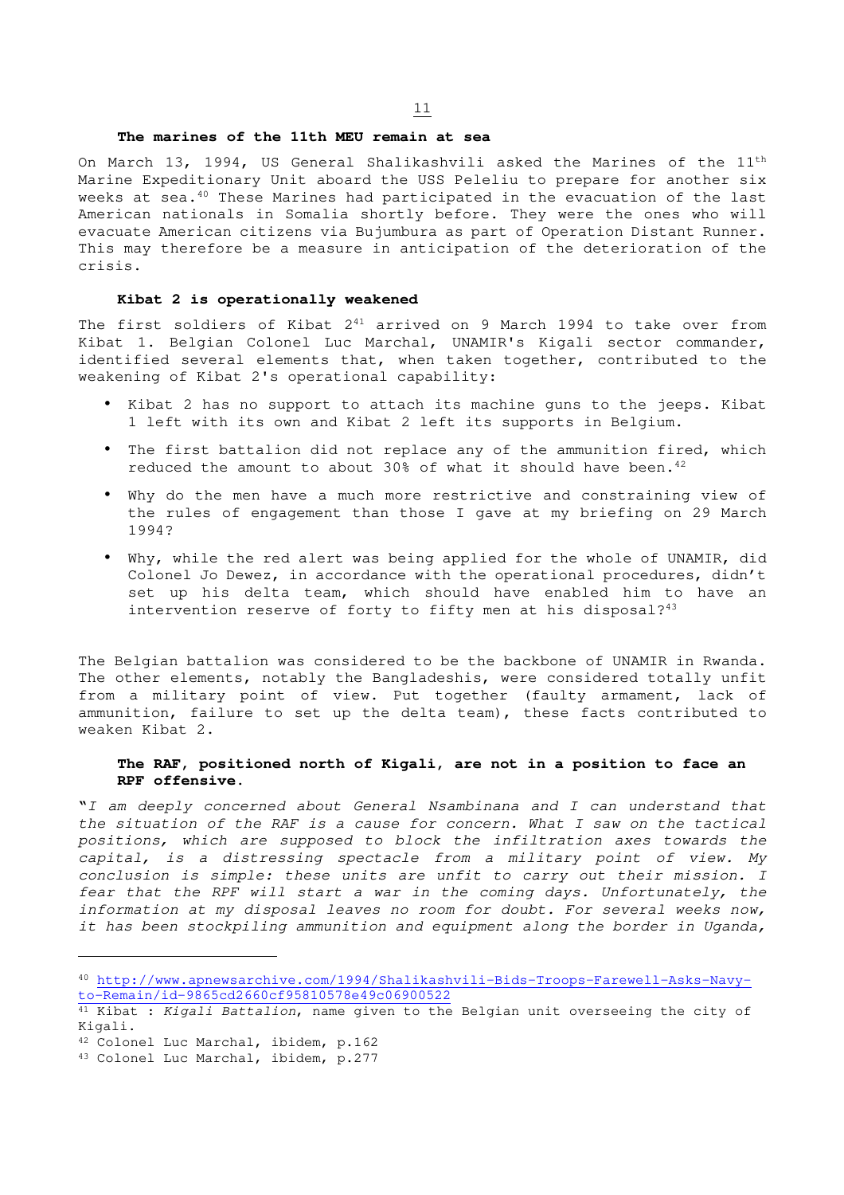#### **The marines of the 11th MEU remain at sea**

On March 13, 1994, US General Shalikashvili asked the Marines of the 11th Marine Expeditionary Unit aboard the USS Peleliu to prepare for another six weeks at sea.<sup>40</sup> These Marines had participated in the evacuation of the last American nationals in Somalia shortly before. They were the ones who will evacuate American citizens via Bujumbura as part of Operation Distant Runner. This may therefore be a measure in anticipation of the deterioration of the crisis.

#### **Kibat 2 is operationally weakened**

The first soldiers of Kibat  $2^{41}$  arrived on 9 March 1994 to take over from Kibat 1. Belgian Colonel Luc Marchal, UNAMIR's Kigali sector commander, identified several elements that, when taken together, contributed to the weakening of Kibat 2's operational capability:

- Kibat 2 has no support to attach its machine guns to the jeeps. Kibat 1 left with its own and Kibat 2 left its supports in Belgium.
- The first battalion did not replace any of the ammunition fired, which reduced the amount to about 30% of what it should have been.<sup>42</sup>
- Why do the men have a much more restrictive and constraining view of the rules of engagement than those I gave at my briefing on 29 March 1994?
- Why, while the red alert was being applied for the whole of UNAMIR, did Colonel Jo Dewez, in accordance with the operational procedures, didn't set up his delta team, which should have enabled him to have an intervention reserve of forty to fifty men at his disposal?<sup>43</sup>

The Belgian battalion was considered to be the backbone of UNAMIR in Rwanda. The other elements, notably the Bangladeshis, were considered totally unfit from a military point of view. Put together (faulty armament, lack of ammunition, failure to set up the delta team), these facts contributed to weaken Kibat 2.

### **The RAF, positioned north of Kigali, are not in a position to face an RPF offensive.**

"I am deeply concerned about General Nsambinana and I can understand that the situation of the RAF is a cause for concern. What I saw on the tactical positions, which are supposed to block the infiltration axes towards the capital, is a distressing spectacle from a military point of view. My conclusion is simple: these units are unfit to carry out their mission. I fear that the RPF will start a war in the coming days. Unfortunately, the information at my disposal leaves no room for doubt. For several weeks now, it has been stockpiling ammunition and equipment along the border in Uganda,

<sup>40</sup> http://www.apnewsarchive.com/1994/Shalikashvili-Bids-Troops-Farewell-Asks-Navyto-Remain/id-9865cd2660cf95810578e49c06900522

<sup>&</sup>lt;sup>41</sup> Kibat : Kigali Battalion, name given to the Belgian unit overseeing the city of Kigali.

<sup>42</sup> Colonel Luc Marchal, ibidem, p.162

<sup>43</sup> Colonel Luc Marchal, ibidem, p.277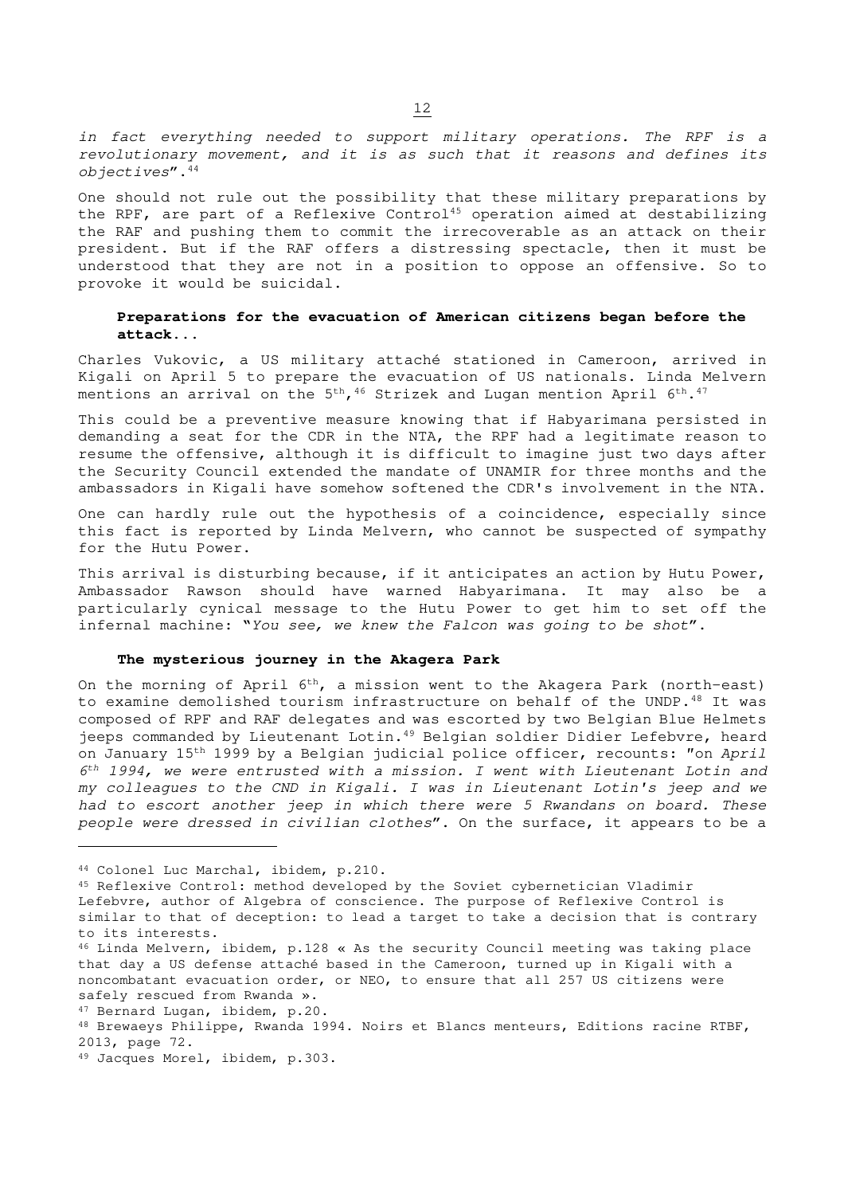in fact everything needed to support military operations. The RPF is a revolutionary movement, and it is as such that it reasons and defines its  $obiectives$ ". $44$ 

One should not rule out the possibility that these military preparations by the RPF, are part of a Reflexive Control<sup>45</sup> operation aimed at destabilizing the RAF and pushing them to commit the irrecoverable as an attack on their president. But if the RAF offers a distressing spectacle, then it must be understood that they are not in a position to oppose an offensive. So to provoke it would be suicidal.

## **Preparations for the evacuation of American citizens began before the attack...**

Charles Vukovic, a US military attaché stationed in Cameroon, arrived in Kigali on April 5 to prepare the evacuation of US nationals. Linda Melvern mentions an arrival on the 5<sup>th</sup>, <sup>46</sup> Strizek and Lugan mention April 6<sup>th</sup>.<sup>47</sup>

This could be a preventive measure knowing that if Habyarimana persisted in demanding a seat for the CDR in the NTA, the RPF had a legitimate reason to resume the offensive, although it is difficult to imagine just two days after the Security Council extended the mandate of UNAMIR for three months and the ambassadors in Kigali have somehow softened the CDR's involvement in the NTA.

One can hardly rule out the hypothesis of a coincidence, especially since this fact is reported by Linda Melvern, who cannot be suspected of sympathy for the Hutu Power.

This arrival is disturbing because, if it anticipates an action by Hutu Power, Ambassador Rawson should have warned Habyarimana. It may also be a particularly cynical message to the Hutu Power to get him to set off the infernal machine: "You see, we knew the Falcon was going to be shot".

## **The mysterious journey in the Akagera Park**

On the morning of April 6<sup>th</sup>, a mission went to the Akagera Park (north-east) to examine demolished tourism infrastructure on behalf of the UNDP.<sup>48</sup> It was composed of RPF and RAF delegates and was escorted by two Belgian Blue Helmets jeeps commanded by Lieutenant Lotin.<sup>49</sup> Belgian soldier Didier Lefebvre, heard on January 15<sup>th</sup> 1999 by a Belgian judicial police officer, recounts: "on April 6th 1994, we were entrusted with a mission. I went with Lieutenant Lotin and my colleagues to the CND in Kigali. I was in Lieutenant Lotin's jeep and we had to escort another jeep in which there were 5 Rwandans on board. These people were dressed in civilian clothes". On the surface, it appears to be a

<sup>44</sup> Colonel Luc Marchal, ibidem, p.210.

<sup>45</sup> Reflexive Control: method developed by the Soviet cybernetician Vladimir Lefebvre, author of Algebra of conscience. The purpose of Reflexive Control is similar to that of deception: to lead a target to take a decision that is contrary to its interests.

<sup>46</sup> Linda Melvern, ibidem, p.128 « As the security Council meeting was taking place that day a US defense attaché based in the Cameroon, turned up in Kigali with a noncombatant evacuation order, or NEO, to ensure that all 257 US citizens were safely rescued from Rwanda ».

<sup>47</sup> Bernard Lugan, ibidem, p.20.

<sup>48</sup> Brewaeys Philippe, Rwanda 1994. Noirs et Blancs menteurs, Editions racine RTBF, 2013, page 72.

<sup>49</sup> Jacques Morel, ibidem, p.303.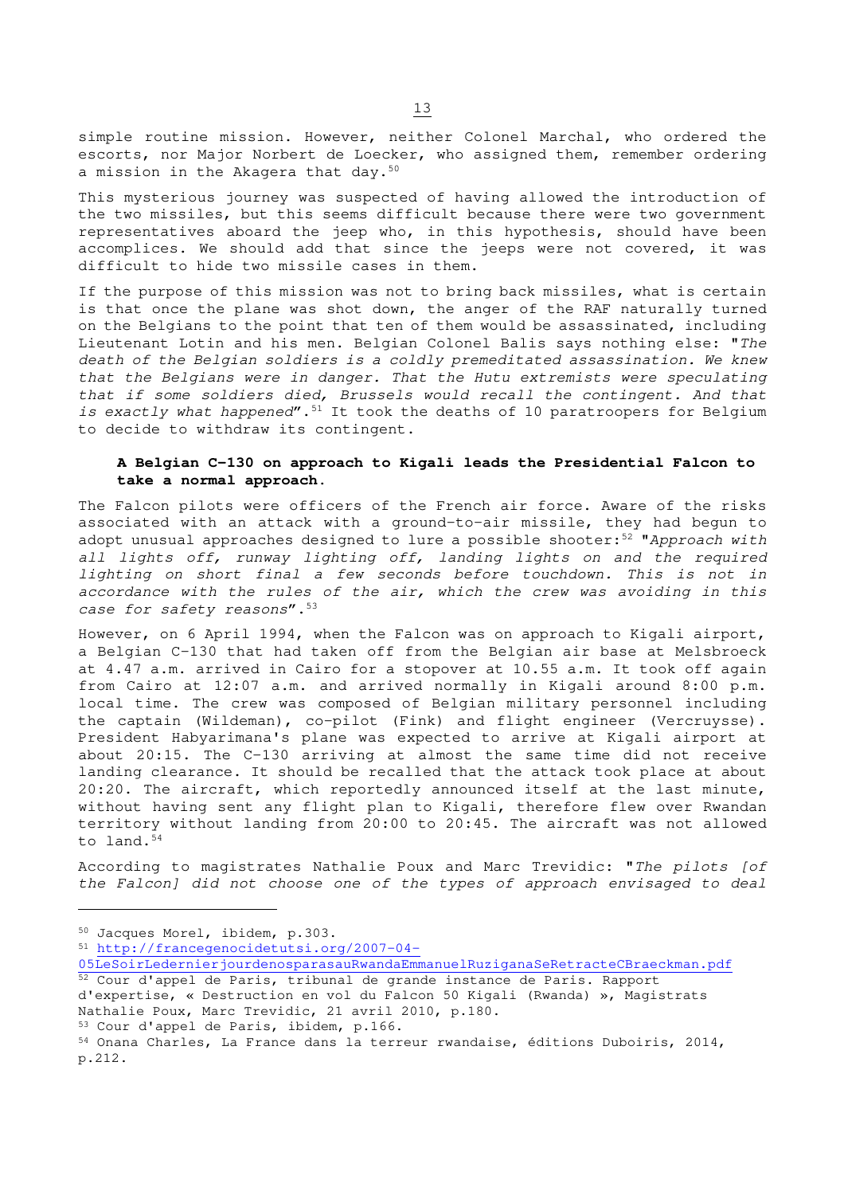simple routine mission. However, neither Colonel Marchal, who ordered the escorts, nor Major Norbert de Loecker, who assigned them, remember ordering a mission in the Akagera that day.<sup>50</sup>

This mysterious journey was suspected of having allowed the introduction of the two missiles, but this seems difficult because there were two government representatives aboard the jeep who, in this hypothesis, should have been accomplices. We should add that since the jeeps were not covered, it was difficult to hide two missile cases in them.

If the purpose of this mission was not to bring back missiles, what is certain is that once the plane was shot down, the anger of the RAF naturally turned on the Belgians to the point that ten of them would be assassinated, including Lieutenant Lotin and his men. Belgian Colonel Balis says nothing else: "The death of the Belgian soldiers is a coldly premeditated assassination. We knew that the Belgians were in danger. That the Hutu extremists were speculating that if some soldiers died, Brussels would recall the contingent. And that is exactly what happened".<sup>51</sup> It took the deaths of 10 paratroopers for Belgium to decide to withdraw its contingent.

## **A Belgian C-130 on approach to Kigali leads the Presidential Falcon to take a normal approach.**

The Falcon pilots were officers of the French air force. Aware of the risks associated with an attack with a ground-to-air missile, they had begun to adopt unusual approaches designed to lure a possible shooter:<sup>52</sup> "Approach with all lights off, runway lighting off, landing lights on and the required lighting on short final a few seconds before touchdown. This is not in accordance with the rules of the air, which the crew was avoiding in this case for safety reasons". 53

However, on 6 April 1994, when the Falcon was on approach to Kigali airport, a Belgian C-130 that had taken off from the Belgian air base at Melsbroeck at 4.47 a.m. arrived in Cairo for a stopover at 10.55 a.m. It took off again from Cairo at 12:07 a.m. and arrived normally in Kigali around 8:00 p.m. local time. The crew was composed of Belgian military personnel including the captain (Wildeman), co-pilot (Fink) and flight engineer (Vercruysse). President Habyarimana's plane was expected to arrive at Kigali airport at about 20:15. The C-130 arriving at almost the same time did not receive landing clearance. It should be recalled that the attack took place at about 20:20. The aircraft, which reportedly announced itself at the last minute, without having sent any flight plan to Kigali, therefore flew over Rwandan territory without landing from 20:00 to 20:45. The aircraft was not allowed to land.<sup>54</sup>

According to magistrates Nathalie Poux and Marc Trevidic: "The pilots [of the Falcon] did not choose one of the types of approach envisaged to deal

<sup>50</sup> Jacques Morel, ibidem, p.303.

<sup>51</sup> http://francegenocidetutsi.org/2007-04-

- 05LeSoirLedernierjourdenosparasauRwandaEmmanuelRuziganaSeRetracteCBraeckman.pdf <sup>52</sup> Cour d'appel de Paris, tribunal de grande instance de Paris. Rapport
- d'expertise, « Destruction en vol du Falcon 50 Kigali (Rwanda) », Magistrats Nathalie Poux, Marc Trevidic, 21 avril 2010, p.180.

<sup>53</sup> Cour d'appel de Paris, ibidem, p.166.

<sup>54</sup> Onana Charles, La France dans la terreur rwandaise, éditions Duboiris, 2014, p.212.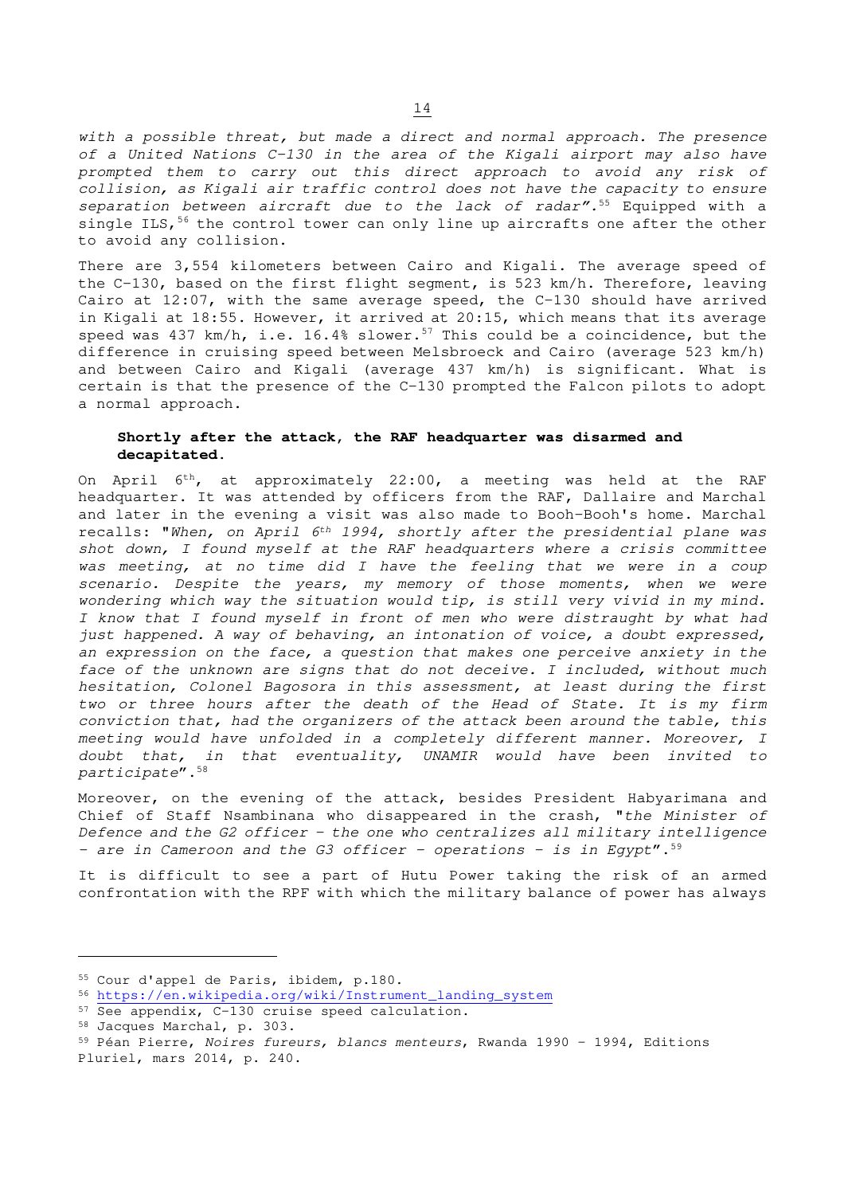with a possible threat, but made a direct and normal approach. The presence of a United Nations C-130 in the area of the Kigali airport may also have prompted them to carry out this direct approach to avoid any risk of collision, as Kigali air traffic control does not have the capacity to ensure separation between aircraft due to the lack of radar".<sup>55</sup> Equipped with a single ILS,  $56$  the control tower can only line up aircrafts one after the other to avoid any collision.

There are 3,554 kilometers between Cairo and Kigali. The average speed of the C-130, based on the first flight segment, is 523 km/h. Therefore, leaving Cairo at 12:07, with the same average speed, the C-130 should have arrived in Kigali at 18:55. However, it arrived at 20:15, which means that its average speed was 437 km/h, i.e. 16.4% slower.<sup>57</sup> This could be a coincidence, but the difference in cruising speed between Melsbroeck and Cairo (average 523 km/h) and between Cairo and Kigali (average 437 km/h) is significant. What is certain is that the presence of the C-130 prompted the Falcon pilots to adopt a normal approach.

## **Shortly after the attack, the RAF headquarter was disarmed and decapitated.**

On April 6th, at approximately 22:00, a meeting was held at the RAF headquarter. It was attended by officers from the RAF, Dallaire and Marchal and later in the evening a visit was also made to Booh-Booh's home. Marchal recalls: "When, on April 6<sup>th</sup> 1994, shortly after the presidential plane was shot down, I found myself at the RAF headquarters where a crisis committee was meeting, at no time did I have the feeling that we were in a coup scenario. Despite the years, my memory of those moments, when we were wondering which way the situation would tip, is still very vivid in my mind. I know that I found myself in front of men who were distraught by what had just happened. A way of behaving, an intonation of voice, a doubt expressed, an expression on the face, a question that makes one perceive anxiety in the face of the unknown are signs that do not deceive. I included, without much hesitation, Colonel Bagosora in this assessment, at least during the first two or three hours after the death of the Head of State. It is my firm conviction that, had the organizers of the attack been around the table, this meeting would have unfolded in a completely different manner. Moreover, I doubt that, in that eventuality, UNAMIR would have been invited to participate".<sup>58</sup>

Moreover, on the evening of the attack, besides President Habyarimana and Chief of Staff Nsambinana who disappeared in the crash, "the Minister of Defence and the G2 officer - the one who centralizes all military intelligence - are in Cameroon and the G3 officer - operations - is in Egypt".<sup>59</sup>

It is difficult to see a part of Hutu Power taking the risk of an armed confrontation with the RPF with which the military balance of power has always

<sup>55</sup> Cour d'appel de Paris, ibidem, p.180.

<sup>56</sup> https://en.wikipedia.org/wiki/Instrument\_landing\_system

<sup>57</sup> See appendix, C-130 cruise speed calculation.

<sup>58</sup> Jacques Marchal, p. 303.

<sup>59</sup> Péan Pierre, Noires fureurs, blancs menteurs, Rwanda 1990 – 1994, Editions Pluriel, mars 2014, p. 240.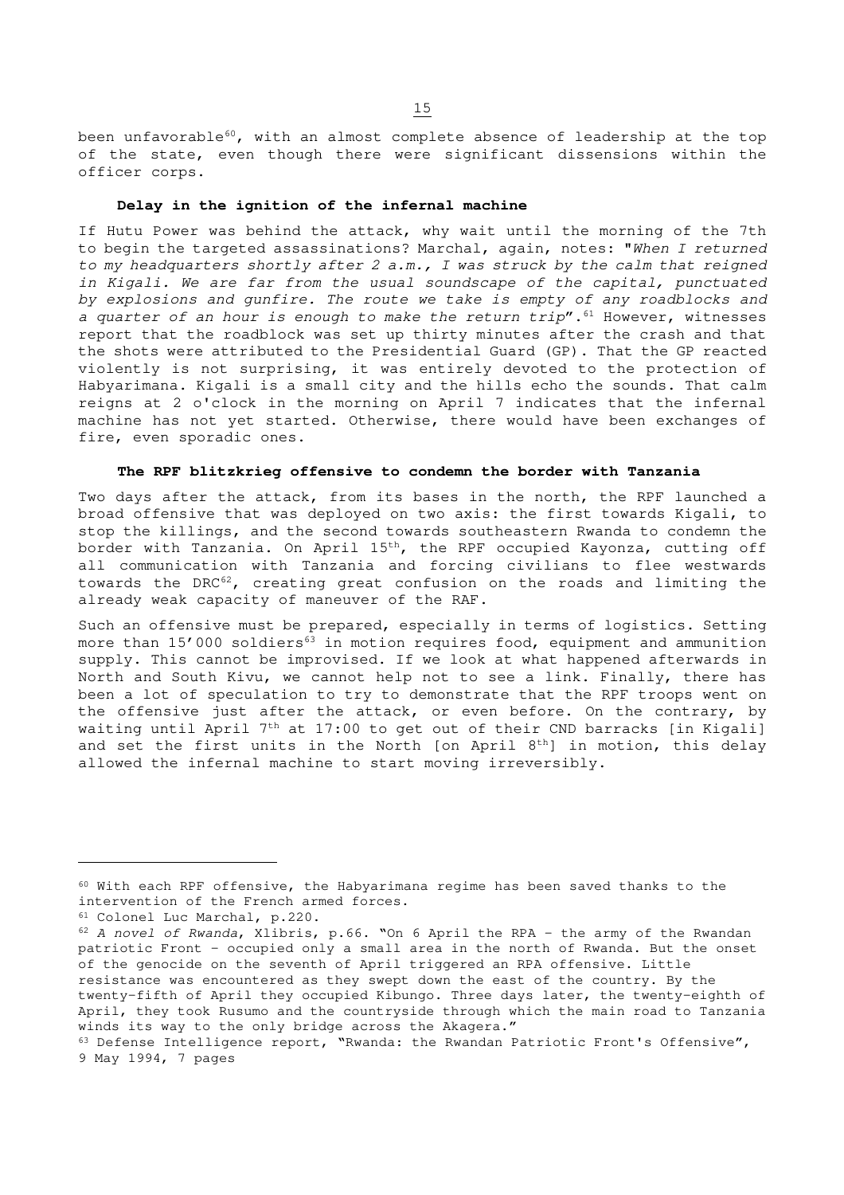been unfavorable<sup>60</sup>, with an almost complete absence of leadership at the top of the state, even though there were significant dissensions within the officer corps.

#### **Delay in the ignition of the infernal machine**

If Hutu Power was behind the attack, why wait until the morning of the 7th to begin the targeted assassinations? Marchal, again, notes: "When I returned to my headquarters shortly after  $2$  a.m., I was struck by the calm that reigned in Kigali. We are far from the usual soundscape of the capital, punctuated by explosions and gunfire. The route we take is empty of any roadblocks and a quarter of an hour is enough to make the return  $trip''$ .<sup>61</sup> However, witnesses report that the roadblock was set up thirty minutes after the crash and that the shots were attributed to the Presidential Guard (GP). That the GP reacted violently is not surprising, it was entirely devoted to the protection of Habyarimana. Kigali is a small city and the hills echo the sounds. That calm reigns at 2 o'clock in the morning on April 7 indicates that the infernal machine has not yet started. Otherwise, there would have been exchanges of fire, even sporadic ones.

#### **The RPF blitzkrieg offensive to condemn the border with Tanzania**

Two days after the attack, from its bases in the north, the RPF launched a broad offensive that was deployed on two axis: the first towards Kigali, to stop the killings, and the second towards southeastern Rwanda to condemn the border with Tanzania. On April 15<sup>th</sup>, the RPF occupied Kayonza, cutting off all communication with Tanzania and forcing civilians to flee westwards towards the DRC<sup>62</sup>, creating great confusion on the roads and limiting the already weak capacity of maneuver of the RAF.

Such an offensive must be prepared, especially in terms of logistics. Setting more than 15'000 soldiers<sup>63</sup> in motion requires food, equipment and ammunition supply. This cannot be improvised. If we look at what happened afterwards in North and South Kivu, we cannot help not to see a link. Finally, there has been a lot of speculation to try to demonstrate that the RPF troops went on the offensive just after the attack, or even before. On the contrary, by waiting until April 7<sup>th</sup> at 17:00 to get out of their CND barracks [in Kigali] and set the first units in the North [on April  $8<sup>th</sup>$ ] in motion, this delay allowed the infernal machine to start moving irreversibly.

<sup>60</sup> With each RPF offensive, the Habyarimana regime has been saved thanks to the intervention of the French armed forces.

<sup>61</sup> Colonel Luc Marchal, p.220.

<sup>62</sup> A novel of Rwanda, Xlibris, p.66. "On 6 April the RPA - the army of the Rwandan patriotic Front - occupied only a small area in the north of Rwanda. But the onset of the genocide on the seventh of April triggered an RPA offensive. Little resistance was encountered as they swept down the east of the country. By the twenty-fifth of April they occupied Kibungo. Three days later, the twenty-eighth of April, they took Rusumo and the countryside through which the main road to Tanzania winds its way to the only bridge across the Akagera."

<sup>63</sup> Defense Intelligence report, "Rwanda: the Rwandan Patriotic Front's Offensive", 9 May 1994, 7 pages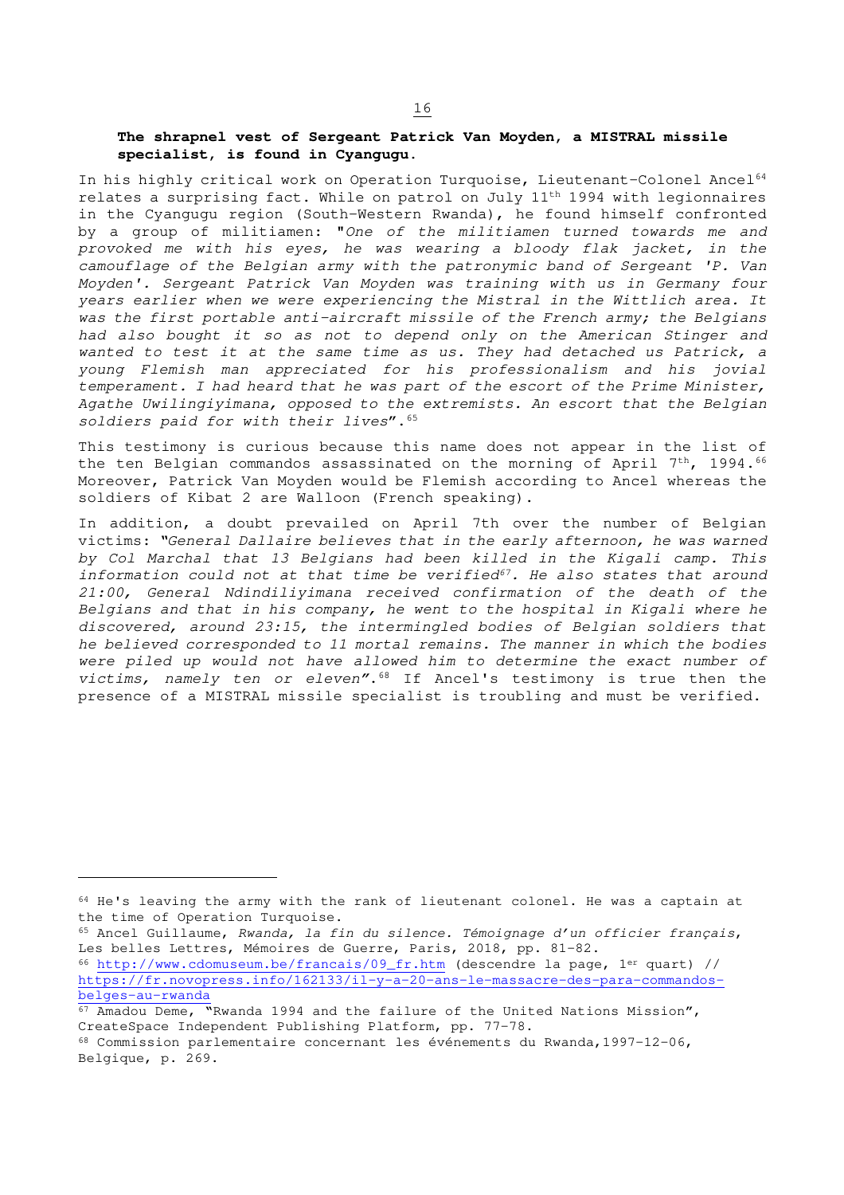## **The shrapnel vest of Sergeant Patrick Van Moyden, a MISTRAL missile specialist, is found in Cyangugu.**

In his highly critical work on Operation Turquoise, Lieutenant-Colonel Ancel<sup>64</sup> relates a surprising fact. While on patrol on July 11th 1994 with legionnaires in the Cyangugu region (South-Western Rwanda), he found himself confronted by a group of militiamen: "One of the militiamen turned towards me and provoked me with his eyes, he was wearing a bloody flak jacket, in the camouflage of the Belgian army with the patronymic band of Sergeant 'P. Van Moyden'. Sergeant Patrick Van Moyden was training with us in Germany four years earlier when we were experiencing the Mistral in the Wittlich area. It was the first portable anti-aircraft missile of the French army; the Belgians had also bought it so as not to depend only on the American Stinger and wanted to test it at the same time as us. They had detached us Patrick, a young Flemish man appreciated for his professionalism and his jovial temperament. I had heard that he was part of the escort of the Prime Minister, Agathe Uwilingiyimana, opposed to the extremists. An escort that the Belgian soldiers paid for with their lives". 65

This testimony is curious because this name does not appear in the list of the ten Belgian commandos assassinated on the morning of April  $7<sup>th</sup>$ , 1994.<sup>66</sup> Moreover, Patrick Van Moyden would be Flemish according to Ancel whereas the soldiers of Kibat 2 are Walloon (French speaking).

In addition, a doubt prevailed on April 7th over the number of Belgian victims: "General Dallaire believes that in the early afternoon, he was warned by Col Marchal that 13 Belgians had been killed in the Kigali camp. This information could not at that time be verified<sup>67</sup>. He also states that around 21:00, General Ndindiliyimana received confirmation of the death of the Belgians and that in his company, he went to the hospital in Kigali where he discovered, around 23:15, the intermingled bodies of Belgian soldiers that he believed corresponded to 11 mortal remains. The manner in which the bodies were piled up would not have allowed him to determine the exact number of victims, namely ten or eleven". <sup>68</sup> If Ancel's testimony is true then the presence of a MISTRAL missile specialist is troubling and must be verified.

<sup>64</sup> He's leaving the army with the rank of lieutenant colonel. He was a captain at the time of Operation Turquoise.

<sup>65</sup> Ancel Guillaume, Rwanda, la fin du silence. Témoignage d'un officier français, Les belles Lettres, Mémoires de Guerre, Paris, 2018, pp. 81-82. <sup>66</sup> http://www.cdomuseum.be/francais/09\_fr.htm (descendre la page, 1er quart) // https://fr.novopress.info/162133/il-y-a-20-ans-le-massacre-des-para-commandosbelges-au-rwanda

<sup>67</sup> Amadou Deme, "Rwanda 1994 and the failure of the United Nations Mission", CreateSpace Independent Publishing Platform, pp. 77-78.

<sup>68</sup> Commission parlementaire concernant les événements du Rwanda,1997-12-06, Belgique, p. 269.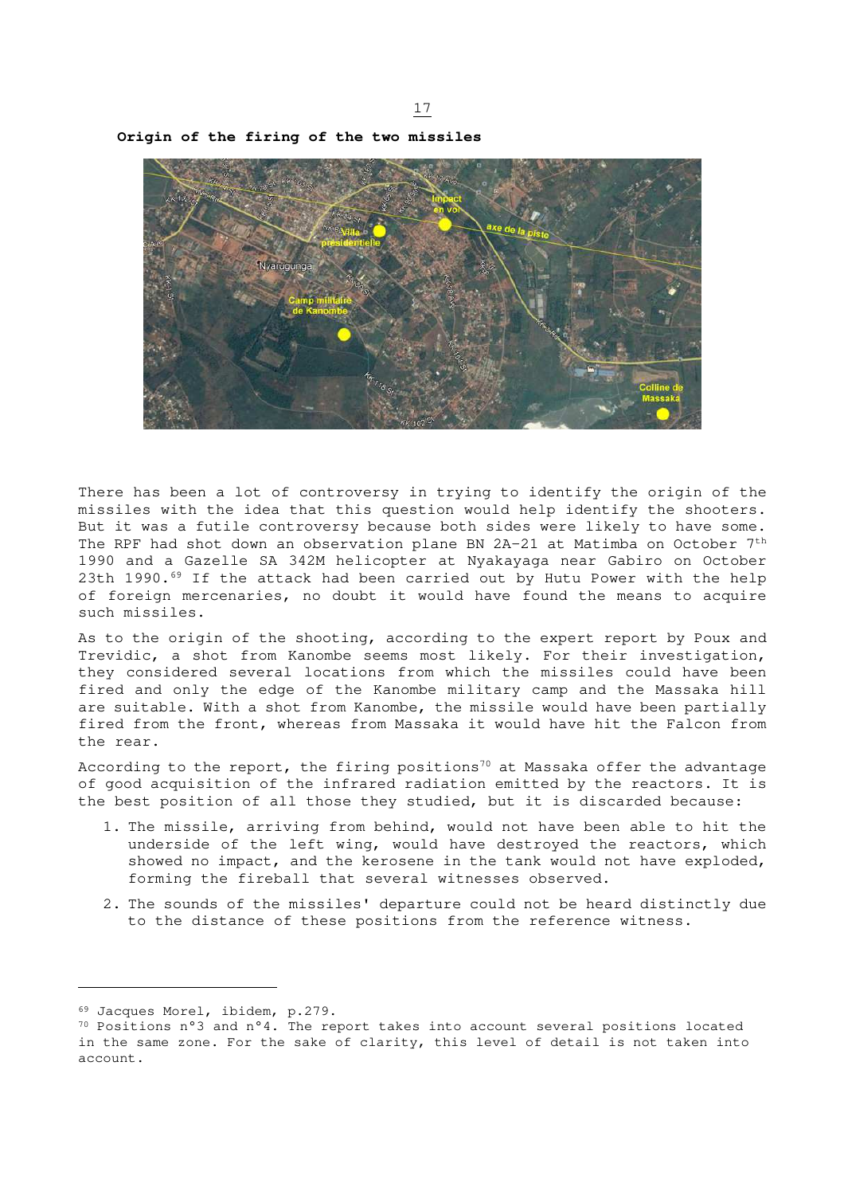17

**Origin of the firing of the two missiles** 

There has been a lot of controversy in trying to identify the origin of the missiles with the idea that this question would help identify the shooters. But it was a futile controversy because both sides were likely to have some. The RPF had shot down an observation plane BN 2A-21 at Matimba on October 7th 1990 and a Gazelle SA 342M helicopter at Nyakayaga near Gabiro on October 23th 1990.<sup>69</sup> If the attack had been carried out by Hutu Power with the help of foreign mercenaries, no doubt it would have found the means to acquire such missiles.

As to the origin of the shooting, according to the expert report by Poux and Trevidic, a shot from Kanombe seems most likely. For their investigation, they considered several locations from which the missiles could have been fired and only the edge of the Kanombe military camp and the Massaka hill are suitable. With a shot from Kanombe, the missile would have been partially fired from the front, whereas from Massaka it would have hit the Falcon from the rear.

According to the report, the firing positions<sup>70</sup> at Massaka offer the advantage of good acquisition of the infrared radiation emitted by the reactors. It is the best position of all those they studied, but it is discarded because:

- 1. The missile, arriving from behind, would not have been able to hit the underside of the left wing, would have destroyed the reactors, which showed no impact, and the kerosene in the tank would not have exploded, forming the fireball that several witnesses observed.
- 2. The sounds of the missiles' departure could not be heard distinctly due to the distance of these positions from the reference witness.

<sup>69</sup> Jacques Morel, ibidem, p.279.

<sup>70</sup> Positions n°3 and n°4. The report takes into account several positions located in the same zone. For the sake of clarity, this level of detail is not taken into account.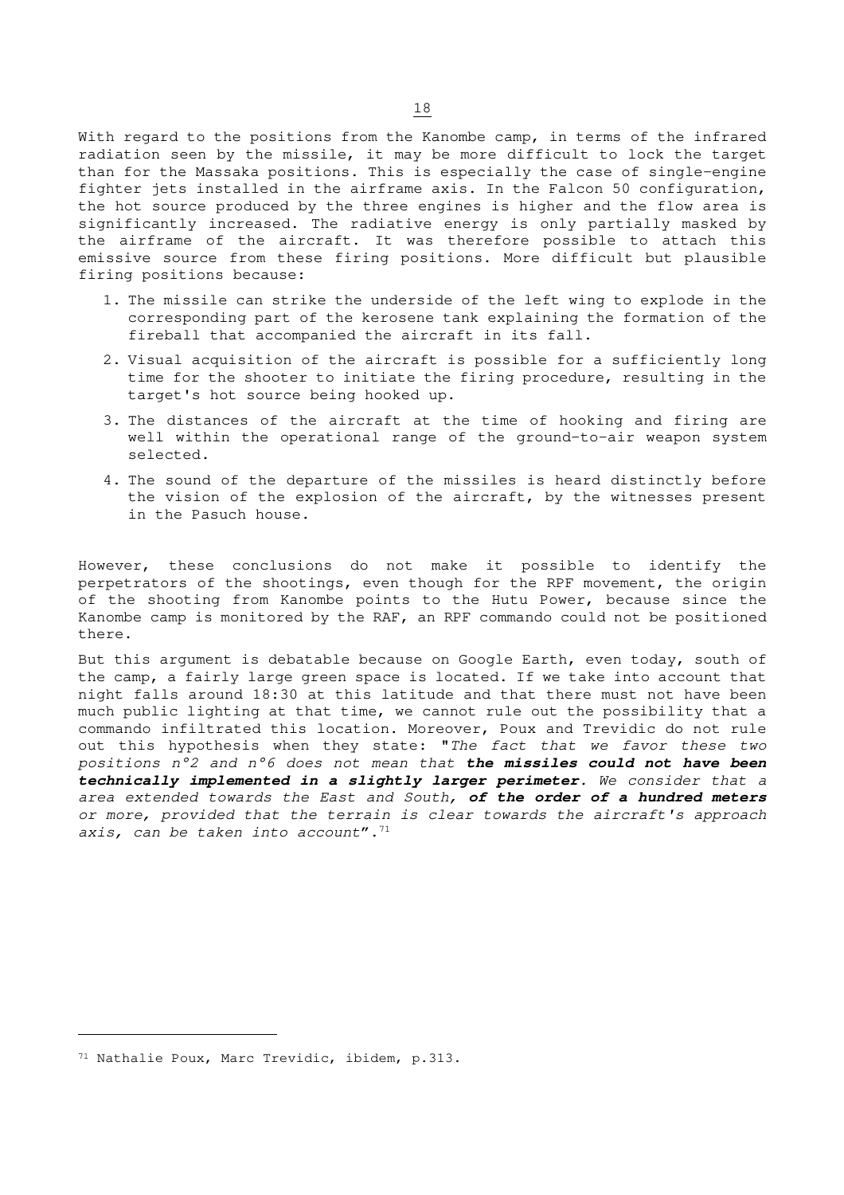With regard to the positions from the Kanombe camp, in terms of the infrared radiation seen by the missile, it may be more difficult to lock the target than for the Massaka positions. This is especially the case of single-engine fighter jets installed in the airframe axis. In the Falcon 50 configuration, the hot source produced by the three engines is higher and the flow area is significantly increased. The radiative energy is only partially masked by the airframe of the aircraft. It was therefore possible to attach this emissive source from these firing positions. More difficult but plausible firing positions because:

- 1. The missile can strike the underside of the left wing to explode in the corresponding part of the kerosene tank explaining the formation of the fireball that accompanied the aircraft in its fall.
- 2. Visual acquisition of the aircraft is possible for a sufficiently long time for the shooter to initiate the firing procedure, resulting in the target's hot source being hooked up.
- 3. The distances of the aircraft at the time of hooking and firing are well within the operational range of the ground-to-air weapon system selected.
- 4. The sound of the departure of the missiles is heard distinctly before the vision of the explosion of the aircraft, by the witnesses present in the Pasuch house.

However, these conclusions do not make it possible to identify the perpetrators of the shootings, even though for the RPF movement, the origin of the shooting from Kanombe points to the Hutu Power, because since the Kanombe camp is monitored by the RAF, an RPF commando could not be positioned there.

But this argument is debatable because on Google Earth, even today, south of the camp, a fairly large green space is located. If we take into account that night falls around 18:30 at this latitude and that there must not have been much public lighting at that time, we cannot rule out the possibility that a commando infiltrated this location. Moreover, Poux and Trevidic do not rule out this hypothesis when they state: "The fact that we favor these two positions n°2 and n°6 does not mean that **the missiles could not have been technically implemented in a slightly larger perimeter**. We consider that a area extended towards the East and South, **of the order of a hundred meters** or more, provided that the terrain is clear towards the aircraft's approach axis, can be taken into account". $71$ 

<sup>71</sup> Nathalie Poux, Marc Trevidic, ibidem, p.313.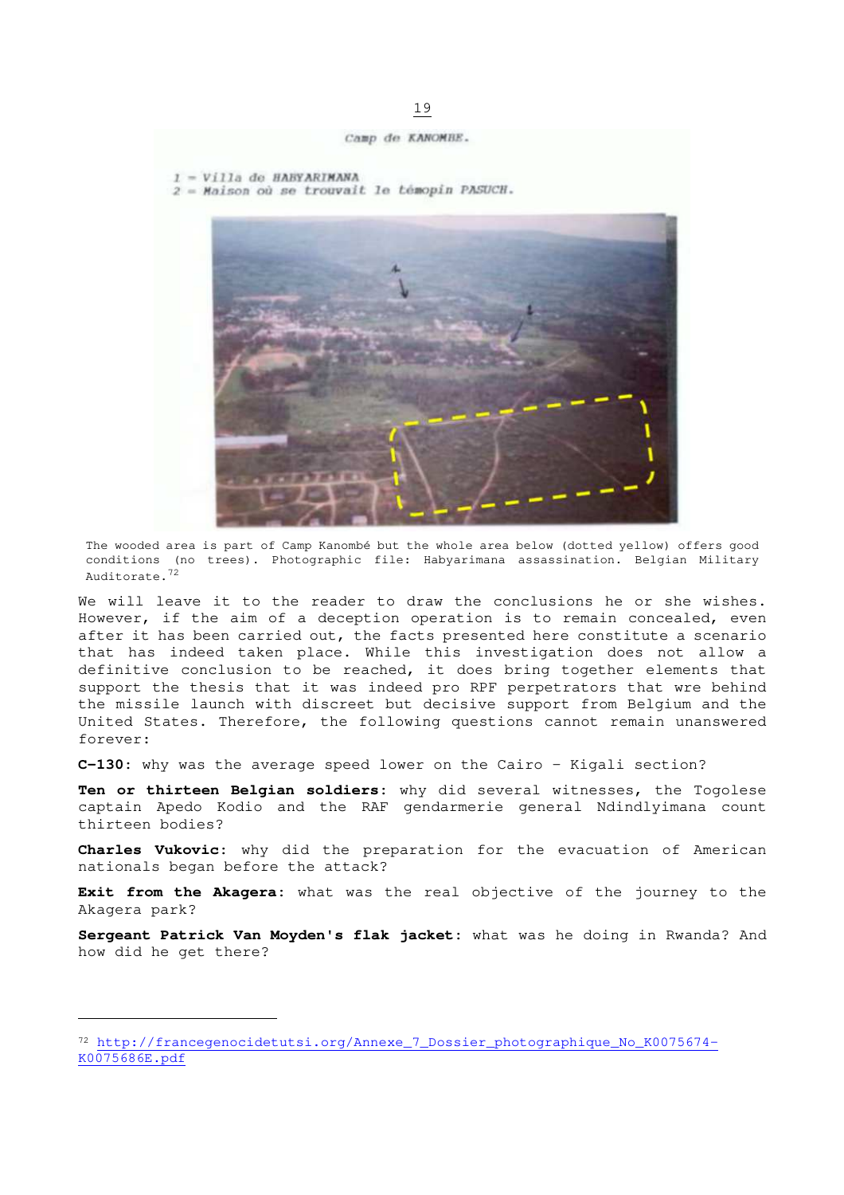Camp de KANOMBE.

```
1 = V111a de HABYARIMANA
```
2 = Maison où se trouvait le témopin PASUCH.



The wooded area is part of Camp Kanombé but the whole area below (dotted yellow) offers good conditions (no trees). Photographic file: Habyarimana assassination. Belgian Military Auditorate.<sup>72</sup>

We will leave it to the reader to draw the conclusions he or she wishes. However, if the aim of a deception operation is to remain concealed, even after it has been carried out, the facts presented here constitute a scenario that has indeed taken place. While this investigation does not allow a definitive conclusion to be reached, it does bring together elements that support the thesis that it was indeed pro RPF perpetrators that wre behind the missile launch with discreet but decisive support from Belgium and the United States. Therefore, the following questions cannot remain unanswered forever:

**C-130:** why was the average speed lower on the Cairo - Kigali section?

**Ten or thirteen Belgian soldiers:** why did several witnesses, the Togolese captain Apedo Kodio and the RAF gendarmerie general Ndindlyimana count thirteen bodies?

**Charles Vukovic:** why did the preparation for the evacuation of American nationals began before the attack?

**Exit from the Akagera:** what was the real objective of the journey to the Akagera park?

**Sergeant Patrick Van Moyden's flak jacket:** what was he doing in Rwanda? And how did he get there?

<sup>72</sup> http://francegenocidetutsi.org/Annexe\_7\_Dossier\_photographique\_No\_K0075674- K0075686E.pdf